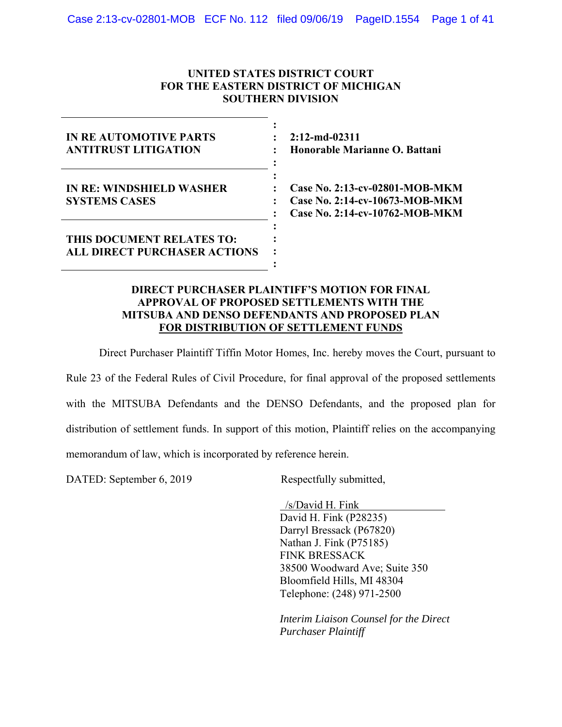## **UNITED STATES DISTRICT COURT FOR THE EASTERN DISTRICT OF MICHIGAN SOUTHERN DIVISION**

| IN REAUTOMOTIVE PARTS<br><b>ANTITRUST LITIGATION</b>             | $2:12$ -md-02311<br>Honorable Marianne O. Battani                                                  |
|------------------------------------------------------------------|----------------------------------------------------------------------------------------------------|
| <b>IN RE: WINDSHIELD WASHER</b><br><b>SYSTEMS CASES</b>          | Case No. 2:13-cv-02801-MOB-MKM<br>Case No. 2:14-cv-10673-MOB-MKM<br>Case No. 2:14-cv-10762-MOB-MKM |
| THIS DOCUMENT RELATES TO:<br><b>ALL DIRECT PURCHASER ACTIONS</b> |                                                                                                    |

## **DIRECT PURCHASER PLAINTIFF'S MOTION FOR FINAL APPROVAL OF PROPOSED SETTLEMENTS WITH THE MITSUBA AND DENSO DEFENDANTS AND PROPOSED PLAN FOR DISTRIBUTION OF SETTLEMENT FUNDS**

Direct Purchaser Plaintiff Tiffin Motor Homes, Inc. hereby moves the Court, pursuant to

Rule 23 of the Federal Rules of Civil Procedure, for final approval of the proposed settlements with the MITSUBA Defendants and the DENSO Defendants, and the proposed plan for distribution of settlement funds. In support of this motion, Plaintiff relies on the accompanying memorandum of law, which is incorporated by reference herein.

DATED: September 6, 2019 Respectfully submitted,

 /s/David H. Fink David H. Fink (P28235) Darryl Bressack (P67820) Nathan J. Fink (P75185) FINK BRESSACK 38500 Woodward Ave; Suite 350 Bloomfield Hills, MI 48304 Telephone: (248) 971-2500

*Interim Liaison Counsel for the Direct Purchaser Plaintiff*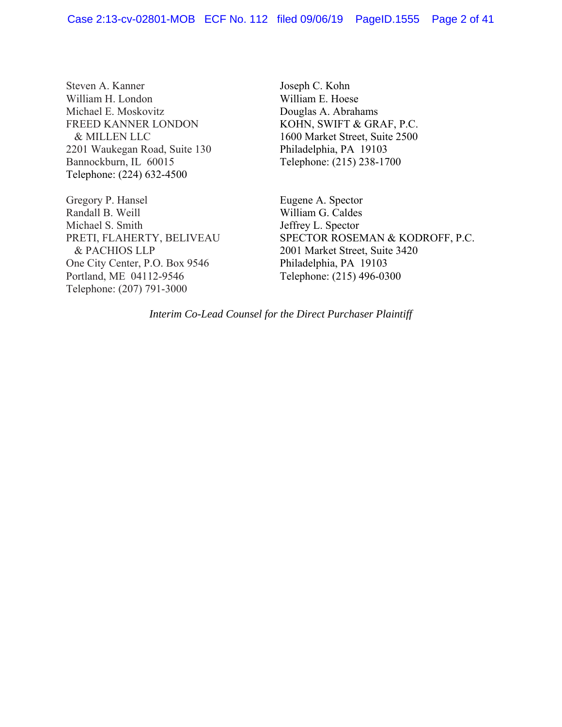Steven A. Kanner William H. London Michael E. Moskovitz FREED KANNER LONDON & MILLEN LLC 2201 Waukegan Road, Suite 130 Bannockburn, IL 60015 Telephone: (224) 632-4500

Gregory P. Hansel Randall B. Weill Michael S. Smith PRETI, FLAHERTY, BELIVEAU & PACHIOS LLP One City Center, P.O. Box 9546 Portland, ME 04112-9546 Telephone: (207) 791-3000

Joseph C. Kohn William E. Hoese Douglas A. Abrahams KOHN, SWIFT & GRAF, P.C. 1600 Market Street, Suite 2500 Philadelphia, PA 19103 Telephone: (215) 238-1700

Eugene A. Spector William G. Caldes Jeffrey L. Spector SPECTOR ROSEMAN & KODROFF, P.C. 2001 Market Street, Suite 3420 Philadelphia, PA 19103 Telephone: (215) 496-0300

*Interim Co-Lead Counsel for the Direct Purchaser Plaintiff*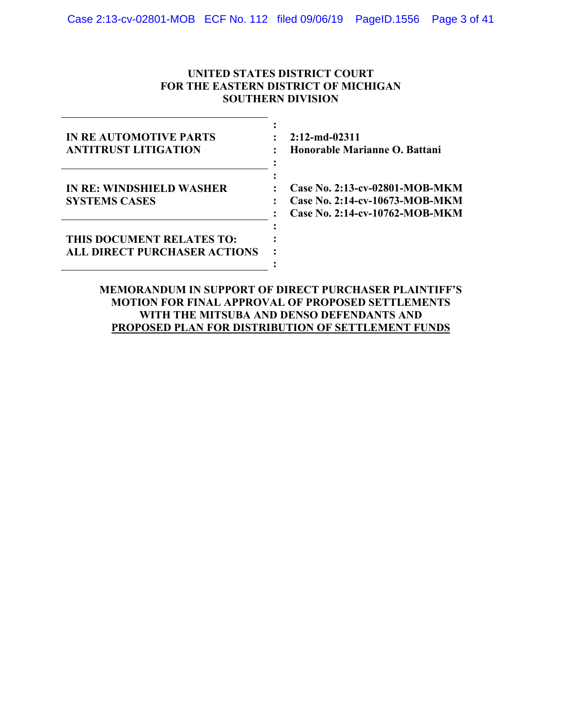## **UNITED STATES DISTRICT COURT FOR THE EASTERN DISTRICT OF MICHIGAN SOUTHERN DIVISION**

| <b>IN REAUTOMOTIVE PARTS</b><br><b>ANTITRUST LITIGATION</b>      | $2:12$ -md-02311<br>Honorable Marianne O. Battani                                                  |
|------------------------------------------------------------------|----------------------------------------------------------------------------------------------------|
| IN RE: WINDSHIELD WASHER<br><b>SYSTEMS CASES</b>                 | Case No. 2:13-cv-02801-MOB-MKM<br>Case No. 2:14-cv-10673-MOB-MKM<br>Case No. 2:14-cv-10762-MOB-MKM |
| THIS DOCUMENT RELATES TO:<br><b>ALL DIRECT PURCHASER ACTIONS</b> |                                                                                                    |

**MEMORANDUM IN SUPPORT OF DIRECT PURCHASER PLAINTIFF'S MOTION FOR FINAL APPROVAL OF PROPOSED SETTLEMENTS WITH THE MITSUBA AND DENSO DEFENDANTS AND PROPOSED PLAN FOR DISTRIBUTION OF SETTLEMENT FUNDS**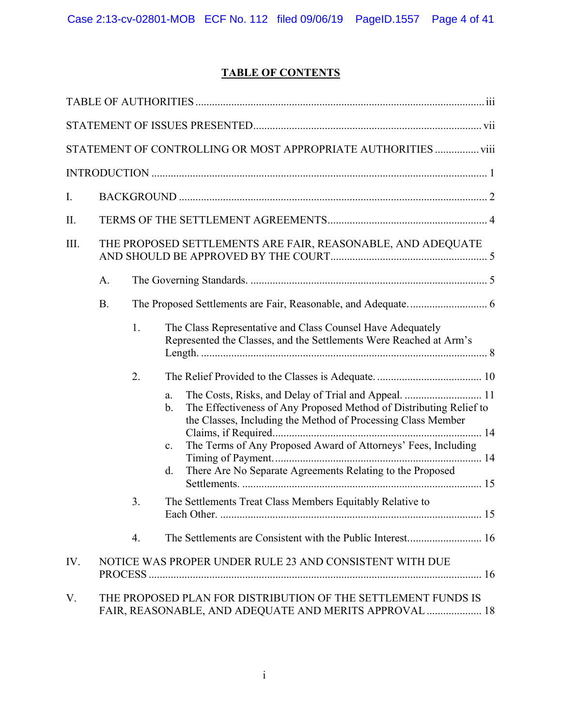# **TABLE OF CONTENTS**

|      |                                                             |    | STATEMENT OF CONTROLLING OR MOST APPROPRIATE AUTHORITIES  viii                                                                                                                                                                                                                                                                                   |
|------|-------------------------------------------------------------|----|--------------------------------------------------------------------------------------------------------------------------------------------------------------------------------------------------------------------------------------------------------------------------------------------------------------------------------------------------|
|      |                                                             |    |                                                                                                                                                                                                                                                                                                                                                  |
| I.   |                                                             |    |                                                                                                                                                                                                                                                                                                                                                  |
| Π.   |                                                             |    |                                                                                                                                                                                                                                                                                                                                                  |
| III. | THE PROPOSED SETTLEMENTS ARE FAIR, REASONABLE, AND ADEQUATE |    |                                                                                                                                                                                                                                                                                                                                                  |
|      | A.                                                          |    |                                                                                                                                                                                                                                                                                                                                                  |
|      | <b>B.</b>                                                   |    |                                                                                                                                                                                                                                                                                                                                                  |
|      |                                                             | 1. | The Class Representative and Class Counsel Have Adequately<br>Represented the Classes, and the Settlements Were Reached at Arm's                                                                                                                                                                                                                 |
|      |                                                             | 2. |                                                                                                                                                                                                                                                                                                                                                  |
|      |                                                             |    | The Costs, Risks, and Delay of Trial and Appeal.  11<br>a.<br>The Effectiveness of Any Proposed Method of Distributing Relief to<br>b.<br>the Classes, Including the Method of Processing Class Member<br>The Terms of Any Proposed Award of Attorneys' Fees, Including<br>c.<br>There Are No Separate Agreements Relating to the Proposed<br>d. |
|      |                                                             | 3. | The Settlements Treat Class Members Equitably Relative to                                                                                                                                                                                                                                                                                        |
|      |                                                             | 4. | The Settlements are Consistent with the Public Interest 16                                                                                                                                                                                                                                                                                       |
| IV.  |                                                             |    | NOTICE WAS PROPER UNDER RULE 23 AND CONSISTENT WITH DUE                                                                                                                                                                                                                                                                                          |
| V.   |                                                             |    | THE PROPOSED PLAN FOR DISTRIBUTION OF THE SETTLEMENT FUNDS IS<br>FAIR, REASONABLE, AND ADEQUATE AND MERITS APPROVAL  18                                                                                                                                                                                                                          |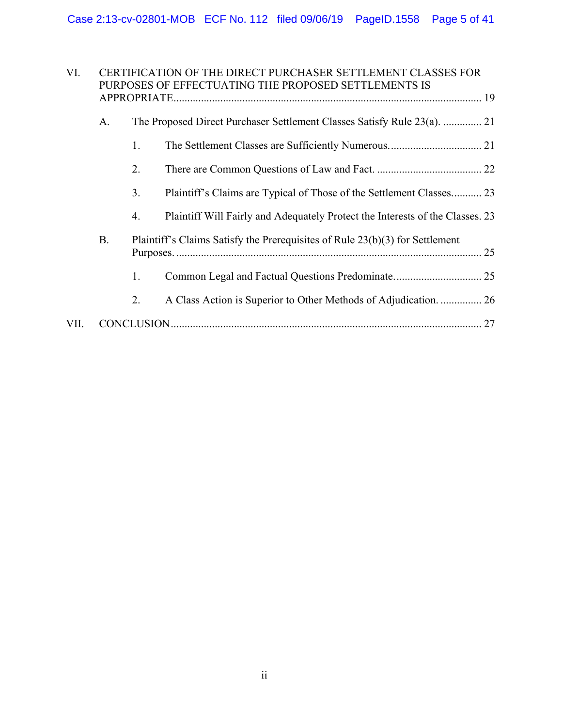| VI.<br>CERTIFICATION OF THE DIRECT PURCHASER SETTLEMENT CLASSES FOR<br>PURPOSES OF EFFECTUATING THE PROPOSED SETTLEMENTS IS |           |    |                                                                               |  |
|-----------------------------------------------------------------------------------------------------------------------------|-----------|----|-------------------------------------------------------------------------------|--|
|                                                                                                                             |           |    |                                                                               |  |
|                                                                                                                             | A.        |    | The Proposed Direct Purchaser Settlement Classes Satisfy Rule 23(a).  21      |  |
|                                                                                                                             |           | 1. |                                                                               |  |
|                                                                                                                             |           | 2. |                                                                               |  |
|                                                                                                                             |           | 3. | Plaintiff's Claims are Typical of Those of the Settlement Classes 23          |  |
|                                                                                                                             |           | 4. | Plaintiff Will Fairly and Adequately Protect the Interests of the Classes. 23 |  |
|                                                                                                                             | <b>B.</b> |    | Plaintiff's Claims Satisfy the Prerequisites of Rule 23(b)(3) for Settlement  |  |
|                                                                                                                             |           | 1. |                                                                               |  |
|                                                                                                                             |           | 2. | A Class Action is Superior to Other Methods of Adjudication.  26              |  |
| VII.                                                                                                                        |           |    |                                                                               |  |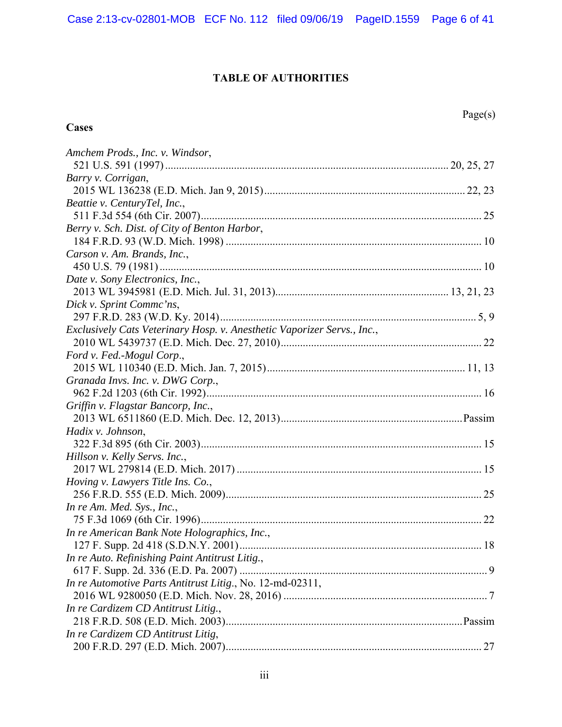## **TABLE OF AUTHORITIES**

## **Cases**

| Amchem Prods., Inc. v. Windsor,                                         |
|-------------------------------------------------------------------------|
|                                                                         |
| Barry v. Corrigan,                                                      |
|                                                                         |
| Beattie v. CenturyTel, Inc.,                                            |
|                                                                         |
| Berry v. Sch. Dist. of City of Benton Harbor,                           |
|                                                                         |
| Carson v. Am. Brands, Inc.,                                             |
|                                                                         |
| Date v. Sony Electronics, Inc.,                                         |
|                                                                         |
| Dick v. Sprint Comme'ns,                                                |
|                                                                         |
| Exclusively Cats Veterinary Hosp. v. Anesthetic Vaporizer Servs., Inc., |
|                                                                         |
| Ford v. Fed.-Mogul Corp.,                                               |
|                                                                         |
| Granada Invs. Inc. v. DWG Corp.,                                        |
|                                                                         |
| Griffin v. Flagstar Bancorp, Inc.,                                      |
|                                                                         |
| Hadix v. Johnson,                                                       |
|                                                                         |
| Hillson v. Kelly Servs. Inc.,                                           |
|                                                                         |
| Hoving v. Lawyers Title Ins. Co.,                                       |
|                                                                         |
| In re Am. Med. Sys., Inc.,                                              |
|                                                                         |
| In re American Bank Note Holographics, Inc.,                            |
|                                                                         |
| In re Auto. Refinishing Paint Antitrust Litig.,                         |
|                                                                         |
| In re Automotive Parts Antitrust Litig., No. 12-md-02311,               |
|                                                                         |
| In re Cardizem CD Antitrust Litig.,                                     |
|                                                                         |
| In re Cardizem CD Antitrust Litig,                                      |
|                                                                         |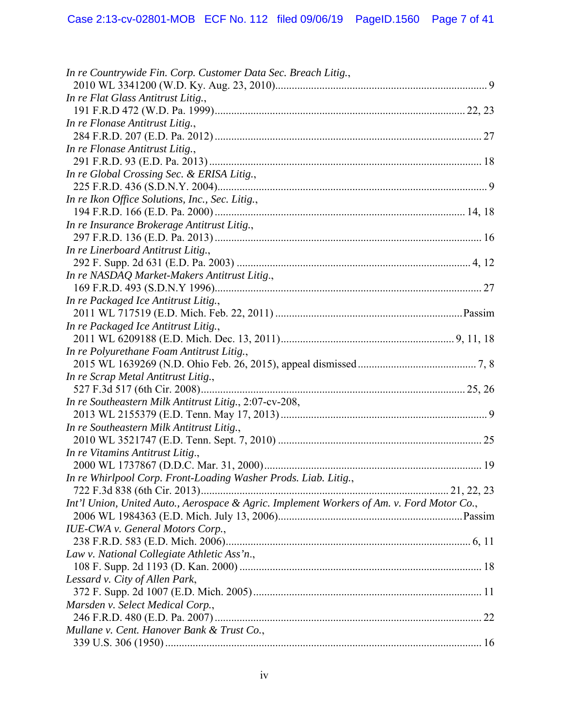| In re Countrywide Fin. Corp. Customer Data Sec. Breach Litig.,                            |  |
|-------------------------------------------------------------------------------------------|--|
|                                                                                           |  |
| In re Flat Glass Antitrust Litig.,                                                        |  |
|                                                                                           |  |
| In re Flonase Antitrust Litig.,                                                           |  |
|                                                                                           |  |
| In re Flonase Antitrust Litig.,                                                           |  |
|                                                                                           |  |
| In re Global Crossing Sec. & ERISA Litig.,                                                |  |
| In re Ikon Office Solutions, Inc., Sec. Litig.,                                           |  |
|                                                                                           |  |
| In re Insurance Brokerage Antitrust Litig.,                                               |  |
|                                                                                           |  |
| In re Linerboard Antitrust Litig.,                                                        |  |
|                                                                                           |  |
| In re NASDAQ Market-Makers Antitrust Litig.,                                              |  |
|                                                                                           |  |
| In re Packaged Ice Antitrust Litig.,                                                      |  |
|                                                                                           |  |
| In re Packaged Ice Antitrust Litig.,                                                      |  |
|                                                                                           |  |
| In re Polyurethane Foam Antitrust Litig.,                                                 |  |
|                                                                                           |  |
| In re Scrap Metal Antitrust Litig.,                                                       |  |
|                                                                                           |  |
| In re Southeastern Milk Antitrust Litig., 2:07-cv-208,                                    |  |
|                                                                                           |  |
| In re Southeastern Milk Antitrust Litig.,                                                 |  |
|                                                                                           |  |
| In re Vitamins Antitrust Litig.,                                                          |  |
|                                                                                           |  |
| In re Whirlpool Corp. Front-Loading Washer Prods. Liab. Litig.,                           |  |
|                                                                                           |  |
| Int'l Union, United Auto., Aerospace & Agric. Implement Workers of Am. v. Ford Motor Co., |  |
|                                                                                           |  |
| <b>IUE-CWA</b> v. General Motors Corp.,                                                   |  |
|                                                                                           |  |
| Law v. National Collegiate Athletic Ass'n.,                                               |  |
|                                                                                           |  |
| Lessard v. City of Allen Park,                                                            |  |
|                                                                                           |  |
| Marsden v. Select Medical Corp.,                                                          |  |
|                                                                                           |  |
| Mullane v. Cent. Hanover Bank & Trust Co.,                                                |  |
|                                                                                           |  |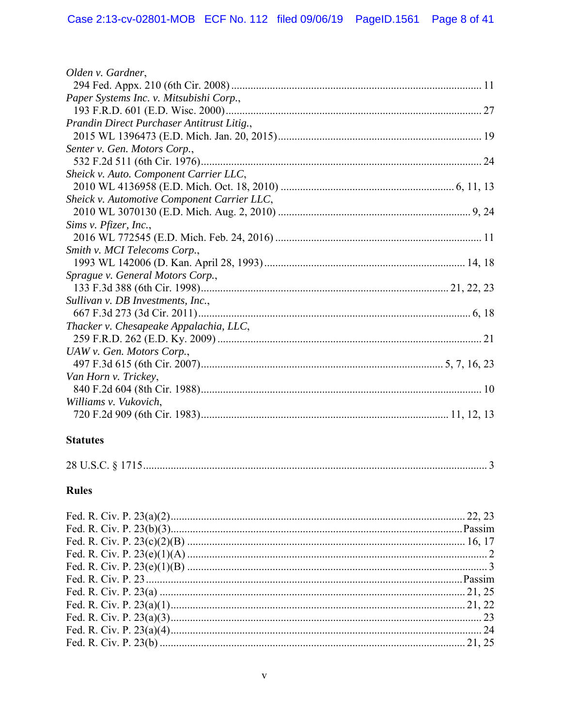| Olden v. Gardner,                           |  |
|---------------------------------------------|--|
|                                             |  |
| Paper Systems Inc. v. Mitsubishi Corp.,     |  |
|                                             |  |
| Prandin Direct Purchaser Antitrust Litig.,  |  |
|                                             |  |
| Senter v. Gen. Motors Corp.,                |  |
|                                             |  |
| Sheick v. Auto. Component Carrier LLC,      |  |
|                                             |  |
| Sheick v. Automotive Component Carrier LLC, |  |
|                                             |  |
| Sims v. Pfizer, Inc.,                       |  |
|                                             |  |
| Smith v. MCI Telecoms Corp.,                |  |
|                                             |  |
| Sprague v. General Motors Corp.,            |  |
|                                             |  |
| Sullivan v. DB Investments, Inc.,           |  |
|                                             |  |
| Thacker v. Chesapeake Appalachia, LLC,      |  |
|                                             |  |
| UAW v. Gen. Motors Corp.,                   |  |
|                                             |  |
| Van Horn v. Trickey,                        |  |
|                                             |  |
| Williams v. Vukovich,                       |  |
|                                             |  |
|                                             |  |

## **Statutes**

# **Rules**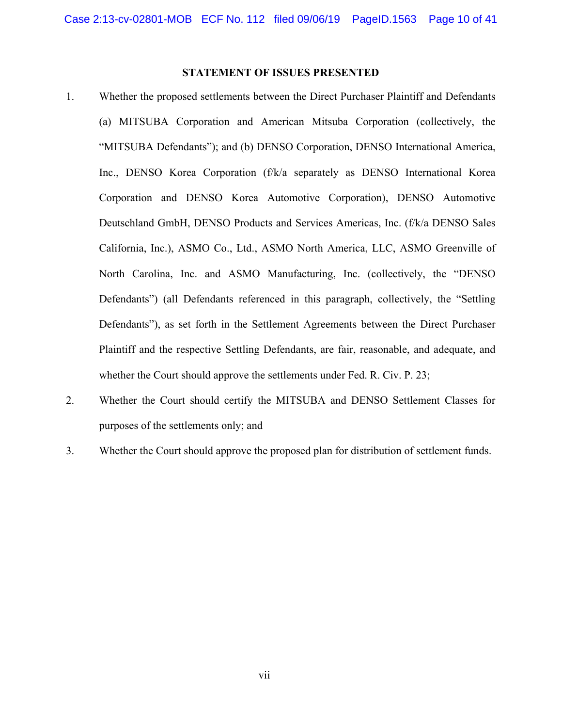## **STATEMENT OF ISSUES PRESENTED**

- 1. Whether the proposed settlements between the Direct Purchaser Plaintiff and Defendants (a) MITSUBA Corporation and American Mitsuba Corporation (collectively, the "MITSUBA Defendants"); and (b) DENSO Corporation, DENSO International America, Inc., DENSO Korea Corporation (f/k/a separately as DENSO International Korea Corporation and DENSO Korea Automotive Corporation), DENSO Automotive Deutschland GmbH, DENSO Products and Services Americas, Inc. (f/k/a DENSO Sales California, Inc.), ASMO Co., Ltd., ASMO North America, LLC, ASMO Greenville of North Carolina, Inc. and ASMO Manufacturing, Inc. (collectively, the "DENSO Defendants") (all Defendants referenced in this paragraph, collectively, the "Settling Defendants"), as set forth in the Settlement Agreements between the Direct Purchaser Plaintiff and the respective Settling Defendants, are fair, reasonable, and adequate, and whether the Court should approve the settlements under Fed. R. Civ. P. 23;
- 2. Whether the Court should certify the MITSUBA and DENSO Settlement Classes for purposes of the settlements only; and
- 3. Whether the Court should approve the proposed plan for distribution of settlement funds.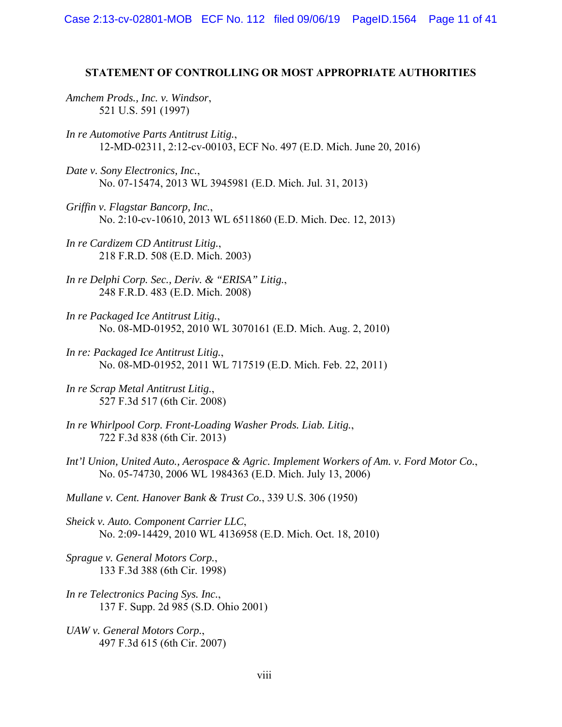#### **STATEMENT OF CONTROLLING OR MOST APPROPRIATE AUTHORITIES**

*Amchem Prods., Inc. v. Windsor*, 521 U.S. 591 (1997)

- *In re Automotive Parts Antitrust Litig.*, 12-MD-02311, 2:12-cv-00103, ECF No. 497 (E.D. Mich. June 20, 2016)
- *Date v. Sony Electronics, Inc.*, No. 07-15474, 2013 WL 3945981 (E.D. Mich. Jul. 31, 2013)
- *Griffin v. Flagstar Bancorp, Inc.*, No. 2:10-cv-10610, 2013 WL 6511860 (E.D. Mich. Dec. 12, 2013)
- *In re Cardizem CD Antitrust Litig.*, 218 F.R.D. 508 (E.D. Mich. 2003)
- *In re Delphi Corp. Sec., Deriv. & "ERISA" Litig.*, 248 F.R.D. 483 (E.D. Mich. 2008)
- *In re Packaged Ice Antitrust Litig.*, No. 08-MD-01952, 2010 WL 3070161 (E.D. Mich. Aug. 2, 2010)
- *In re: Packaged Ice Antitrust Litig.*, No. 08-MD-01952, 2011 WL 717519 (E.D. Mich. Feb. 22, 2011)
- *In re Scrap Metal Antitrust Litig.*, 527 F.3d 517 (6th Cir. 2008)
- *In re Whirlpool Corp. Front-Loading Washer Prods. Liab. Litig.*, 722 F.3d 838 (6th Cir. 2013)
- *Int'l Union, United Auto., Aerospace & Agric. Implement Workers of Am. v. Ford Motor Co.*, No. 05-74730, 2006 WL 1984363 (E.D. Mich. July 13, 2006)

*Mullane v. Cent. Hanover Bank & Trust Co.*, 339 U.S. 306 (1950)

- *Sheick v. Auto. Component Carrier LLC*, No. 2:09-14429, 2010 WL 4136958 (E.D. Mich. Oct. 18, 2010)
- *Sprague v. General Motors Corp.*, 133 F.3d 388 (6th Cir. 1998)
- *In re Telectronics Pacing Sys. Inc.*, 137 F. Supp. 2d 985 (S.D. Ohio 2001)
- *UAW v. General Motors Corp.*, 497 F.3d 615 (6th Cir. 2007)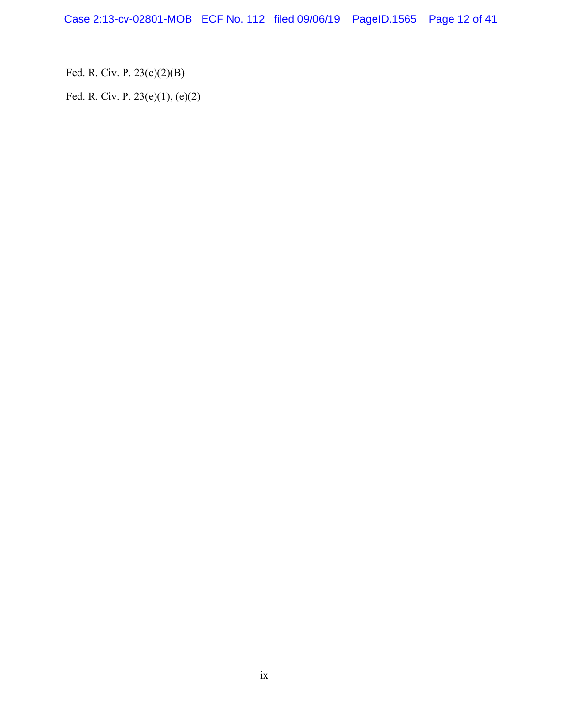Case 2:13-cv-02801-MOB ECF No. 112 filed 09/06/19 PageID.1565 Page 12 of 41

Fed. R. Civ. P. 23(c)(2)(B)

Fed. R. Civ. P. 23(e)(1), (e)(2)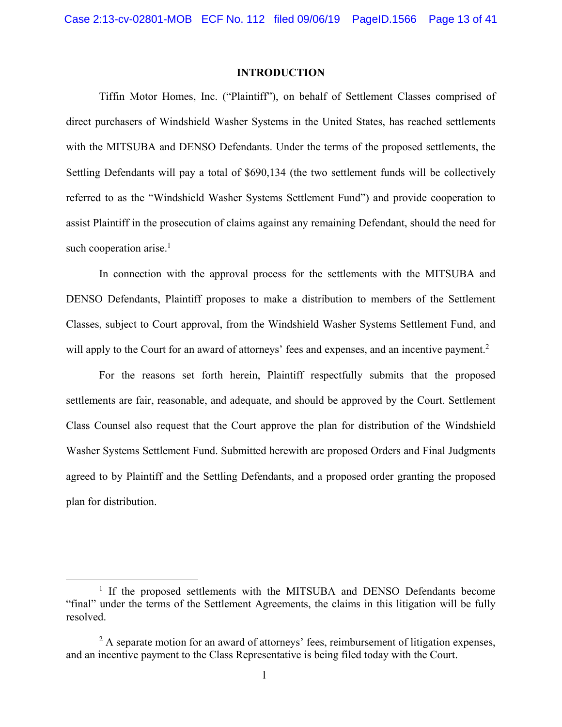#### **INTRODUCTION**

Tiffin Motor Homes, Inc. ("Plaintiff"), on behalf of Settlement Classes comprised of direct purchasers of Windshield Washer Systems in the United States, has reached settlements with the MITSUBA and DENSO Defendants. Under the terms of the proposed settlements, the Settling Defendants will pay a total of \$690,134 (the two settlement funds will be collectively referred to as the "Windshield Washer Systems Settlement Fund") and provide cooperation to assist Plaintiff in the prosecution of claims against any remaining Defendant, should the need for such cooperation arise. $<sup>1</sup>$ </sup>

In connection with the approval process for the settlements with the MITSUBA and DENSO Defendants, Plaintiff proposes to make a distribution to members of the Settlement Classes, subject to Court approval, from the Windshield Washer Systems Settlement Fund, and will apply to the Court for an award of attorneys' fees and expenses, and an incentive payment.<sup>2</sup>

For the reasons set forth herein, Plaintiff respectfully submits that the proposed settlements are fair, reasonable, and adequate, and should be approved by the Court. Settlement Class Counsel also request that the Court approve the plan for distribution of the Windshield Washer Systems Settlement Fund. Submitted herewith are proposed Orders and Final Judgments agreed to by Plaintiff and the Settling Defendants, and a proposed order granting the proposed plan for distribution.

 $\begin{array}{c}\n\hline\n\hline\n\hline\n\hline\n\hline\n\end{array}$ <sup>1</sup> If the proposed settlements with the MITSUBA and DENSO Defendants become "final" under the terms of the Settlement Agreements, the claims in this litigation will be fully resolved.

 $2$  A separate motion for an award of attorneys' fees, reimbursement of litigation expenses, and an incentive payment to the Class Representative is being filed today with the Court.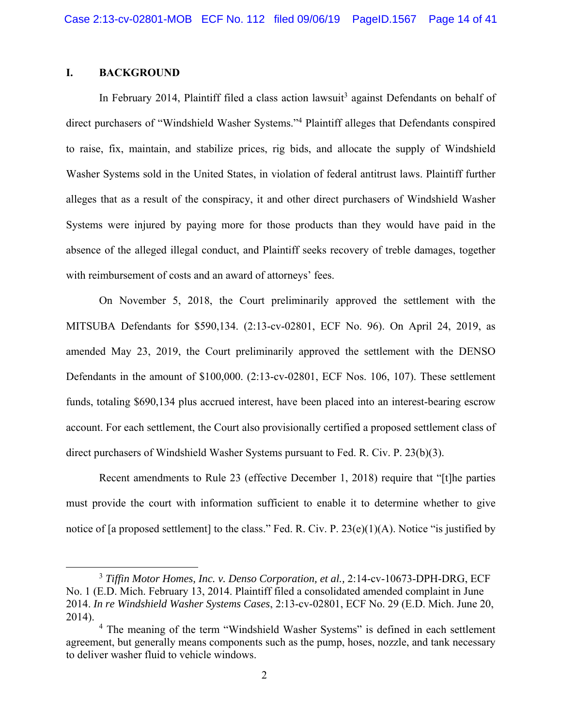## **I. BACKGROUND**

In February 2014, Plaintiff filed a class action lawsuit<sup>3</sup> against Defendants on behalf of direct purchasers of "Windshield Washer Systems."<sup>4</sup> Plaintiff alleges that Defendants conspired to raise, fix, maintain, and stabilize prices, rig bids, and allocate the supply of Windshield Washer Systems sold in the United States, in violation of federal antitrust laws. Plaintiff further alleges that as a result of the conspiracy, it and other direct purchasers of Windshield Washer Systems were injured by paying more for those products than they would have paid in the absence of the alleged illegal conduct, and Plaintiff seeks recovery of treble damages, together with reimbursement of costs and an award of attorneys' fees.

On November 5, 2018, the Court preliminarily approved the settlement with the MITSUBA Defendants for \$590,134. (2:13-cv-02801, ECF No. 96). On April 24, 2019, as amended May 23, 2019, the Court preliminarily approved the settlement with the DENSO Defendants in the amount of \$100,000. (2:13-cv-02801, ECF Nos. 106, 107). These settlement funds, totaling \$690,134 plus accrued interest, have been placed into an interest-bearing escrow account. For each settlement, the Court also provisionally certified a proposed settlement class of direct purchasers of Windshield Washer Systems pursuant to Fed. R. Civ. P. 23(b)(3).

Recent amendments to Rule 23 (effective December 1, 2018) require that "[t]he parties must provide the court with information sufficient to enable it to determine whether to give notice of [a proposed settlement] to the class." Fed. R. Civ. P. 23(e)(1)(A). Notice "is justified by

 $\frac{1}{3}$  *Tiffin Motor Homes, Inc. v. Denso Corporation, et al.,* 2:14-cv-10673-DPH-DRG, ECF No. 1 (E.D. Mich. February 13, 2014. Plaintiff filed a consolidated amended complaint in June 2014. *In re Windshield Washer Systems Cases*, 2:13-cv-02801, ECF No. 29 (E.D. Mich. June 20, 2014).

<sup>&</sup>lt;sup>4</sup> The meaning of the term "Windshield Washer Systems" is defined in each settlement agreement, but generally means components such as the pump, hoses, nozzle, and tank necessary to deliver washer fluid to vehicle windows.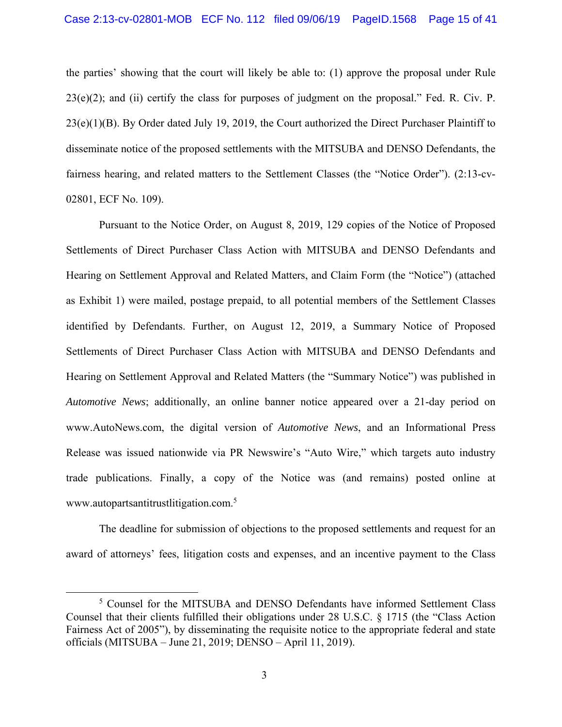the parties' showing that the court will likely be able to: (1) approve the proposal under Rule 23(e)(2); and (ii) certify the class for purposes of judgment on the proposal." Fed. R. Civ. P.  $23(e)(1)(B)$ . By Order dated July 19, 2019, the Court authorized the Direct Purchaser Plaintiff to disseminate notice of the proposed settlements with the MITSUBA and DENSO Defendants, the fairness hearing, and related matters to the Settlement Classes (the "Notice Order"). (2:13-cv-02801, ECF No. 109).

Pursuant to the Notice Order, on August 8, 2019, 129 copies of the Notice of Proposed Settlements of Direct Purchaser Class Action with MITSUBA and DENSO Defendants and Hearing on Settlement Approval and Related Matters, and Claim Form (the "Notice") (attached as Exhibit 1) were mailed, postage prepaid, to all potential members of the Settlement Classes identified by Defendants. Further, on August 12, 2019, a Summary Notice of Proposed Settlements of Direct Purchaser Class Action with MITSUBA and DENSO Defendants and Hearing on Settlement Approval and Related Matters (the "Summary Notice") was published in *Automotive News*; additionally, an online banner notice appeared over a 21-day period on www.AutoNews.com, the digital version of *Automotive News*, and an Informational Press Release was issued nationwide via PR Newswire's "Auto Wire," which targets auto industry trade publications. Finally, a copy of the Notice was (and remains) posted online at www.autopartsantitrustlitigation.com.<sup>5</sup>

The deadline for submission of objections to the proposed settlements and request for an award of attorneys' fees, litigation costs and expenses, and an incentive payment to the Class

 $rac{1}{5}$ <sup>5</sup> Counsel for the MITSUBA and DENSO Defendants have informed Settlement Class Counsel that their clients fulfilled their obligations under 28 U.S.C. § 1715 (the "Class Action Fairness Act of 2005"), by disseminating the requisite notice to the appropriate federal and state officials (MITSUBA – June 21, 2019; DENSO – April 11, 2019).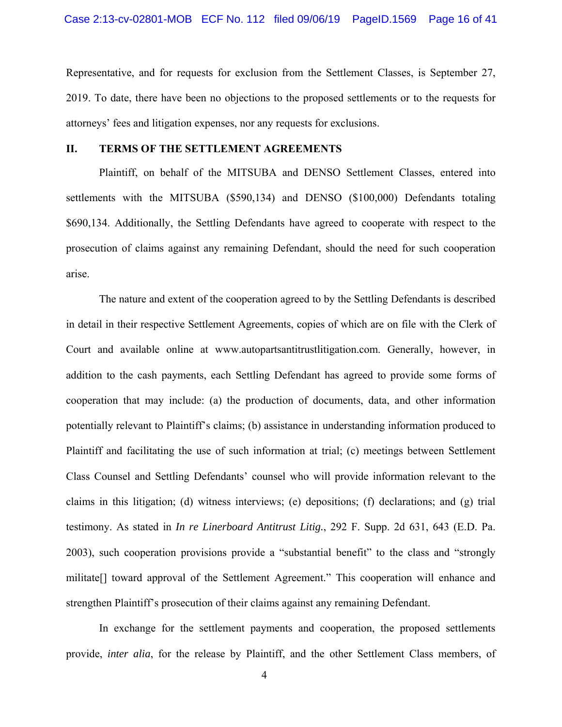Representative, and for requests for exclusion from the Settlement Classes, is September 27, 2019. To date, there have been no objections to the proposed settlements or to the requests for attorneys' fees and litigation expenses, nor any requests for exclusions.

### **II. TERMS OF THE SETTLEMENT AGREEMENTS**

Plaintiff, on behalf of the MITSUBA and DENSO Settlement Classes, entered into settlements with the MITSUBA (\$590,134) and DENSO (\$100,000) Defendants totaling \$690,134. Additionally, the Settling Defendants have agreed to cooperate with respect to the prosecution of claims against any remaining Defendant, should the need for such cooperation arise.

The nature and extent of the cooperation agreed to by the Settling Defendants is described in detail in their respective Settlement Agreements, copies of which are on file with the Clerk of Court and available online at www.autopartsantitrustlitigation.com. Generally, however, in addition to the cash payments, each Settling Defendant has agreed to provide some forms of cooperation that may include: (a) the production of documents, data, and other information potentially relevant to Plaintiff's claims; (b) assistance in understanding information produced to Plaintiff and facilitating the use of such information at trial; (c) meetings between Settlement Class Counsel and Settling Defendants' counsel who will provide information relevant to the claims in this litigation; (d) witness interviews; (e) depositions; (f) declarations; and (g) trial testimony. As stated in *In re Linerboard Antitrust Litig.*, 292 F. Supp. 2d 631, 643 (E.D. Pa. 2003), such cooperation provisions provide a "substantial benefit" to the class and "strongly militate[] toward approval of the Settlement Agreement." This cooperation will enhance and strengthen Plaintiff's prosecution of their claims against any remaining Defendant.

In exchange for the settlement payments and cooperation, the proposed settlements provide, *inter alia*, for the release by Plaintiff, and the other Settlement Class members, of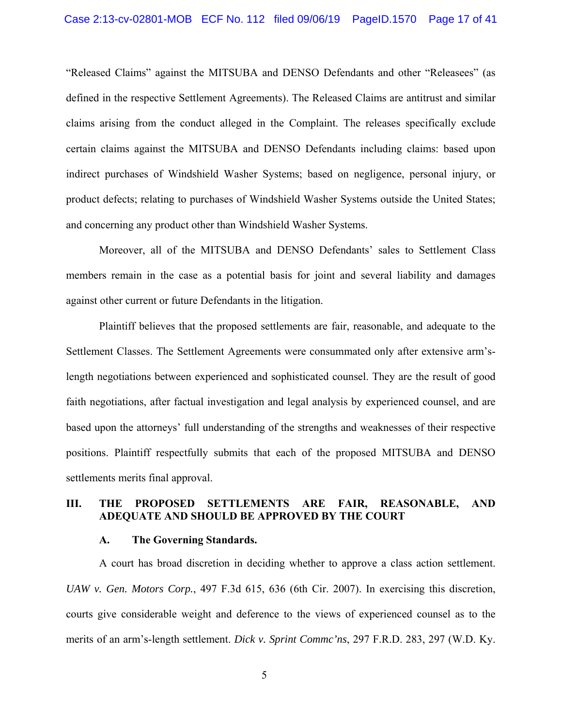"Released Claims" against the MITSUBA and DENSO Defendants and other "Releasees" (as defined in the respective Settlement Agreements). The Released Claims are antitrust and similar claims arising from the conduct alleged in the Complaint. The releases specifically exclude certain claims against the MITSUBA and DENSO Defendants including claims: based upon indirect purchases of Windshield Washer Systems; based on negligence, personal injury, or product defects; relating to purchases of Windshield Washer Systems outside the United States; and concerning any product other than Windshield Washer Systems.

Moreover, all of the MITSUBA and DENSO Defendants' sales to Settlement Class members remain in the case as a potential basis for joint and several liability and damages against other current or future Defendants in the litigation.

Plaintiff believes that the proposed settlements are fair, reasonable, and adequate to the Settlement Classes. The Settlement Agreements were consummated only after extensive arm'slength negotiations between experienced and sophisticated counsel. They are the result of good faith negotiations, after factual investigation and legal analysis by experienced counsel, and are based upon the attorneys' full understanding of the strengths and weaknesses of their respective positions. Plaintiff respectfully submits that each of the proposed MITSUBA and DENSO settlements merits final approval.

### **III. THE PROPOSED SETTLEMENTS ARE FAIR, REASONABLE, AND ADEQUATE AND SHOULD BE APPROVED BY THE COURT**

#### **A. The Governing Standards.**

A court has broad discretion in deciding whether to approve a class action settlement. *UAW v. Gen. Motors Corp.*, 497 F.3d 615, 636 (6th Cir. 2007). In exercising this discretion, courts give considerable weight and deference to the views of experienced counsel as to the merits of an arm's-length settlement. *Dick v. Sprint Commc'ns*, 297 F.R.D. 283, 297 (W.D. Ky.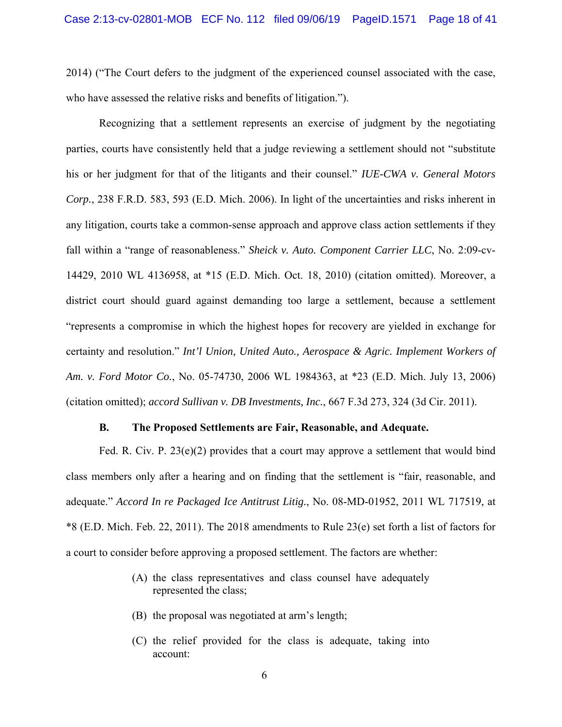2014) ("The Court defers to the judgment of the experienced counsel associated with the case, who have assessed the relative risks and benefits of litigation.").

Recognizing that a settlement represents an exercise of judgment by the negotiating parties, courts have consistently held that a judge reviewing a settlement should not "substitute his or her judgment for that of the litigants and their counsel." *IUE-CWA v. General Motors Corp.*, 238 F.R.D. 583, 593 (E.D. Mich. 2006). In light of the uncertainties and risks inherent in any litigation, courts take a common-sense approach and approve class action settlements if they fall within a "range of reasonableness." *Sheick v. Auto. Component Carrier LLC*, No. 2:09-cv-14429, 2010 WL 4136958, at \*15 (E.D. Mich. Oct. 18, 2010) (citation omitted). Moreover, a district court should guard against demanding too large a settlement, because a settlement "represents a compromise in which the highest hopes for recovery are yielded in exchange for certainty and resolution." *Int'l Union, United Auto., Aerospace & Agric. Implement Workers of Am. v. Ford Motor Co.*, No. 05-74730, 2006 WL 1984363, at \*23 (E.D. Mich. July 13, 2006) (citation omitted); *accord Sullivan v. DB Investments, Inc.*, 667 F.3d 273, 324 (3d Cir. 2011).

#### **B. The Proposed Settlements are Fair, Reasonable, and Adequate.**

Fed. R. Civ. P.  $23(e)(2)$  provides that a court may approve a settlement that would bind class members only after a hearing and on finding that the settlement is "fair, reasonable, and adequate." *Accord In re Packaged Ice Antitrust Litig.*, No. 08-MD-01952, 2011 WL 717519, at \*8 (E.D. Mich. Feb. 22, 2011). The 2018 amendments to Rule 23(e) set forth a list of factors for a court to consider before approving a proposed settlement. The factors are whether:

- (A) the class representatives and class counsel have adequately represented the class;
- (B) the proposal was negotiated at arm's length;
- (C) the relief provided for the class is adequate, taking into account: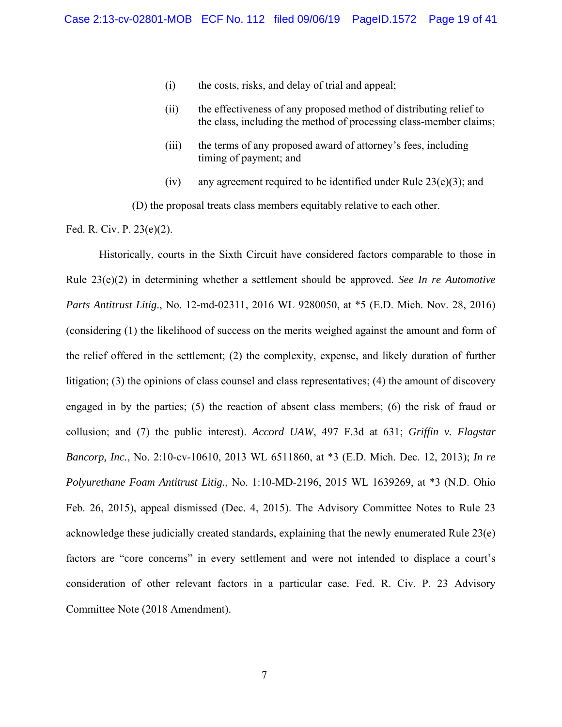- (i) the costs, risks, and delay of trial and appeal;
- (ii) the effectiveness of any proposed method of distributing relief to the class, including the method of processing class-member claims;
- (iii) the terms of any proposed award of attorney's fees, including timing of payment; and
- (iv) any agreement required to be identified under Rule  $23(e)(3)$ ; and

(D) the proposal treats class members equitably relative to each other.

Fed. R. Civ. P. 23(e)(2).

Historically, courts in the Sixth Circuit have considered factors comparable to those in Rule 23(e)(2) in determining whether a settlement should be approved. *See In re Automotive Parts Antitrust Litig*., No. 12-md-02311, 2016 WL 9280050, at \*5 (E.D. Mich. Nov. 28, 2016) (considering (1) the likelihood of success on the merits weighed against the amount and form of the relief offered in the settlement; (2) the complexity, expense, and likely duration of further litigation; (3) the opinions of class counsel and class representatives; (4) the amount of discovery engaged in by the parties; (5) the reaction of absent class members; (6) the risk of fraud or collusion; and (7) the public interest). *Accord UAW*, 497 F.3d at 631; *Griffin v. Flagstar Bancorp, Inc.*, No. 2:10-cv-10610, 2013 WL 6511860, at \*3 (E.D. Mich. Dec. 12, 2013); *In re Polyurethane Foam Antitrust Litig.*, No. 1:10-MD-2196, 2015 WL 1639269, at \*3 (N.D. Ohio Feb. 26, 2015), appeal dismissed (Dec. 4, 2015). The Advisory Committee Notes to Rule 23 acknowledge these judicially created standards, explaining that the newly enumerated Rule 23(e) factors are "core concerns" in every settlement and were not intended to displace a court's consideration of other relevant factors in a particular case. Fed. R. Civ. P. 23 Advisory Committee Note (2018 Amendment).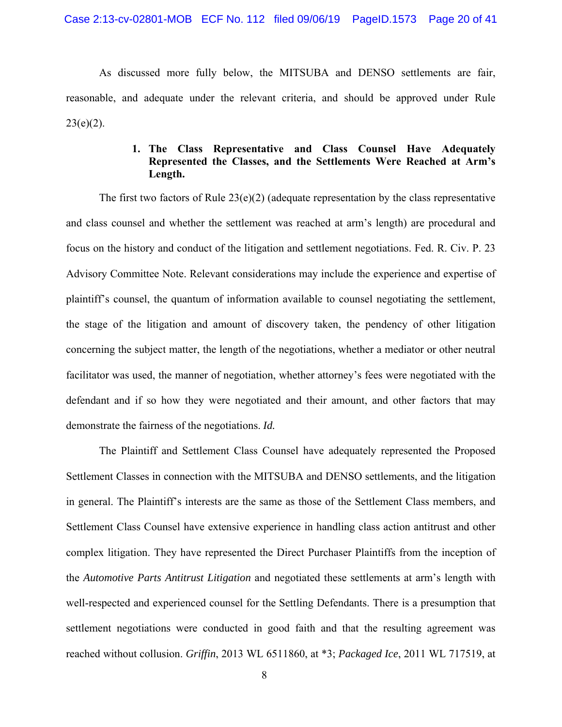As discussed more fully below, the MITSUBA and DENSO settlements are fair, reasonable, and adequate under the relevant criteria, and should be approved under Rule  $23(e)(2)$ .

## **1. The Class Representative and Class Counsel Have Adequately Represented the Classes, and the Settlements Were Reached at Arm's Length.**

The first two factors of Rule  $23(e)(2)$  (adequate representation by the class representative and class counsel and whether the settlement was reached at arm's length) are procedural and focus on the history and conduct of the litigation and settlement negotiations. Fed. R. Civ. P. 23 Advisory Committee Note. Relevant considerations may include the experience and expertise of plaintiff's counsel, the quantum of information available to counsel negotiating the settlement, the stage of the litigation and amount of discovery taken, the pendency of other litigation concerning the subject matter, the length of the negotiations, whether a mediator or other neutral facilitator was used, the manner of negotiation, whether attorney's fees were negotiated with the defendant and if so how they were negotiated and their amount, and other factors that may demonstrate the fairness of the negotiations. *Id.*

The Plaintiff and Settlement Class Counsel have adequately represented the Proposed Settlement Classes in connection with the MITSUBA and DENSO settlements, and the litigation in general. The Plaintiff's interests are the same as those of the Settlement Class members, and Settlement Class Counsel have extensive experience in handling class action antitrust and other complex litigation. They have represented the Direct Purchaser Plaintiffs from the inception of the *Automotive Parts Antitrust Litigation* and negotiated these settlements at arm's length with well-respected and experienced counsel for the Settling Defendants. There is a presumption that settlement negotiations were conducted in good faith and that the resulting agreement was reached without collusion. *Griffin*, 2013 WL 6511860, at \*3; *Packaged Ice*, 2011 WL 717519, at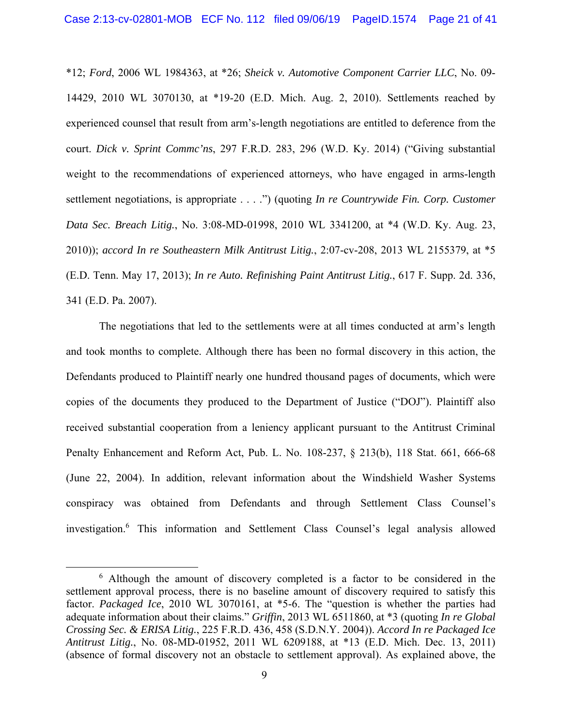\*12; *Ford*, 2006 WL 1984363, at \*26; *Sheick v. Automotive Component Carrier LLC*, No. 09- 14429, 2010 WL 3070130, at \*19-20 (E.D. Mich. Aug. 2, 2010). Settlements reached by experienced counsel that result from arm's-length negotiations are entitled to deference from the court. *Dick v. Sprint Commc'ns*, 297 F.R.D. 283, 296 (W.D. Ky. 2014) ("Giving substantial weight to the recommendations of experienced attorneys, who have engaged in arms-length settlement negotiations, is appropriate . . . .") (quoting *In re Countrywide Fin. Corp. Customer Data Sec. Breach Litig.*, No. 3:08-MD-01998, 2010 WL 3341200, at \*4 (W.D. Ky. Aug. 23, 2010)); *accord In re Southeastern Milk Antitrust Litig.*, 2:07-cv-208, 2013 WL 2155379, at \*5 (E.D. Tenn. May 17, 2013); *In re Auto. Refinishing Paint Antitrust Litig.*, 617 F. Supp. 2d. 336, 341 (E.D. Pa. 2007).

The negotiations that led to the settlements were at all times conducted at arm's length and took months to complete. Although there has been no formal discovery in this action, the Defendants produced to Plaintiff nearly one hundred thousand pages of documents, which were copies of the documents they produced to the Department of Justice ("DOJ"). Plaintiff also received substantial cooperation from a leniency applicant pursuant to the Antitrust Criminal Penalty Enhancement and Reform Act, Pub. L. No. 108-237, § 213(b), 118 Stat. 661, 666-68 (June 22, 2004). In addition, relevant information about the Windshield Washer Systems conspiracy was obtained from Defendants and through Settlement Class Counsel's investigation.6 This information and Settlement Class Counsel's legal analysis allowed

 <sup>6</sup> Although the amount of discovery completed is a factor to be considered in the settlement approval process, there is no baseline amount of discovery required to satisfy this factor. *Packaged Ice*, 2010 WL 3070161, at \*5-6. The "question is whether the parties had adequate information about their claims." *Griffin*, 2013 WL 6511860, at \*3 (quoting *In re Global Crossing Sec. & ERISA Litig.*, 225 F.R.D. 436, 458 (S.D.N.Y. 2004)). *Accord In re Packaged Ice Antitrust Litig.*, No. 08-MD-01952, 2011 WL 6209188, at \*13 (E.D. Mich. Dec. 13, 2011) (absence of formal discovery not an obstacle to settlement approval). As explained above, the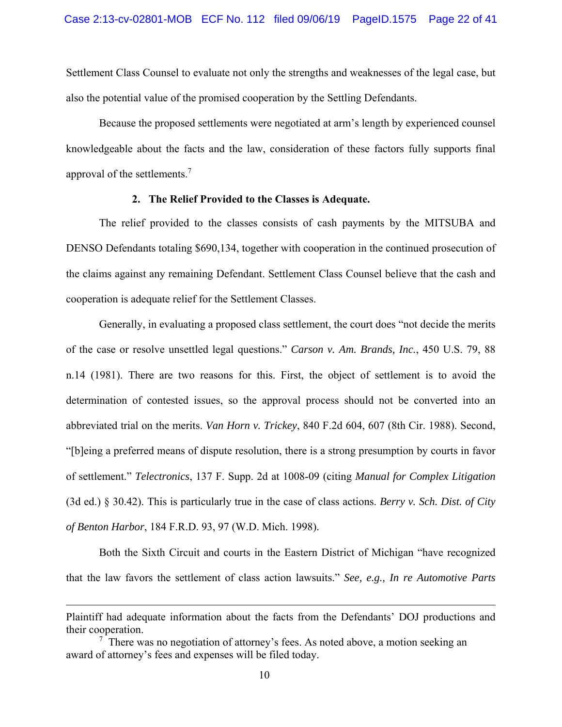Settlement Class Counsel to evaluate not only the strengths and weaknesses of the legal case, but also the potential value of the promised cooperation by the Settling Defendants.

Because the proposed settlements were negotiated at arm's length by experienced counsel knowledgeable about the facts and the law, consideration of these factors fully supports final approval of the settlements.<sup>7</sup>

#### **2. The Relief Provided to the Classes is Adequate.**

The relief provided to the classes consists of cash payments by the MITSUBA and DENSO Defendants totaling \$690,134, together with cooperation in the continued prosecution of the claims against any remaining Defendant. Settlement Class Counsel believe that the cash and cooperation is adequate relief for the Settlement Classes.

Generally, in evaluating a proposed class settlement, the court does "not decide the merits of the case or resolve unsettled legal questions." *Carson v. Am. Brands, Inc.*, 450 U.S. 79, 88 n.14 (1981). There are two reasons for this. First, the object of settlement is to avoid the determination of contested issues, so the approval process should not be converted into an abbreviated trial on the merits. *Van Horn v. Trickey*, 840 F.2d 604, 607 (8th Cir. 1988). Second, "[b]eing a preferred means of dispute resolution, there is a strong presumption by courts in favor of settlement." *Telectronics*, 137 F. Supp. 2d at 1008-09 (citing *Manual for Complex Litigation*  (3d ed.) § 30.42). This is particularly true in the case of class actions. *Berry v. Sch. Dist. of City of Benton Harbor*, 184 F.R.D. 93, 97 (W.D. Mich. 1998).

Both the Sixth Circuit and courts in the Eastern District of Michigan "have recognized that the law favors the settlement of class action lawsuits." *See, e.g., In re Automotive Parts* 

 $\overline{a}$ 

Plaintiff had adequate information about the facts from the Defendants' DOJ productions and their cooperation.

 $7$  There was no negotiation of attorney's fees. As noted above, a motion seeking an award of attorney's fees and expenses will be filed today.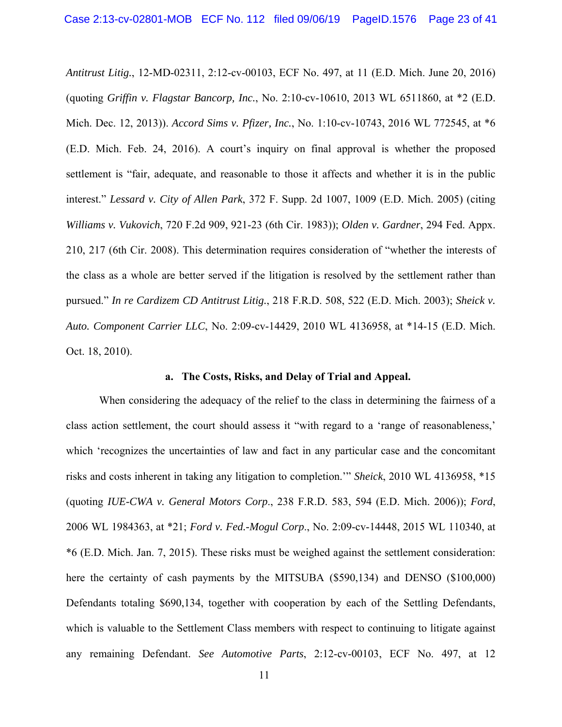*Antitrust Litig.*, 12-MD-02311, 2:12-cv-00103, ECF No. 497, at 11 (E.D. Mich. June 20, 2016) (quoting *Griffin v. Flagstar Bancorp, Inc.*, No. 2:10-cv-10610, 2013 WL 6511860, at \*2 (E.D. Mich. Dec. 12, 2013)). *Accord Sims v. Pfizer, Inc.*, No. 1:10-cv-10743, 2016 WL 772545, at \*6 (E.D. Mich. Feb. 24, 2016). A court's inquiry on final approval is whether the proposed settlement is "fair, adequate, and reasonable to those it affects and whether it is in the public interest." *Lessard v. City of Allen Park*, 372 F. Supp. 2d 1007, 1009 (E.D. Mich. 2005) (citing *Williams v. Vukovich*, 720 F.2d 909, 921-23 (6th Cir. 1983)); *Olden v. Gardner*, 294 Fed. Appx. 210, 217 (6th Cir. 2008). This determination requires consideration of "whether the interests of the class as a whole are better served if the litigation is resolved by the settlement rather than pursued." *In re Cardizem CD Antitrust Litig.*, 218 F.R.D. 508, 522 (E.D. Mich. 2003); *Sheick v. Auto. Component Carrier LLC*, No. 2:09-cv-14429, 2010 WL 4136958, at \*14-15 (E.D. Mich. Oct. 18, 2010).

#### **a. The Costs, Risks, and Delay of Trial and Appeal.**

When considering the adequacy of the relief to the class in determining the fairness of a class action settlement, the court should assess it "with regard to a 'range of reasonableness,' which 'recognizes the uncertainties of law and fact in any particular case and the concomitant risks and costs inherent in taking any litigation to completion.'" *Sheick*, 2010 WL 4136958, \*15 (quoting *IUE-CWA v. General Motors Corp*., 238 F.R.D. 583, 594 (E.D. Mich. 2006)); *Ford*, 2006 WL 1984363, at \*21; *Ford v. Fed.-Mogul Corp*., No. 2:09-cv-14448, 2015 WL 110340, at \*6 (E.D. Mich. Jan. 7, 2015). These risks must be weighed against the settlement consideration: here the certainty of cash payments by the MITSUBA (\$590,134) and DENSO (\$100,000) Defendants totaling \$690,134, together with cooperation by each of the Settling Defendants, which is valuable to the Settlement Class members with respect to continuing to litigate against any remaining Defendant. *See Automotive Parts*, 2:12-cv-00103, ECF No. 497, at 12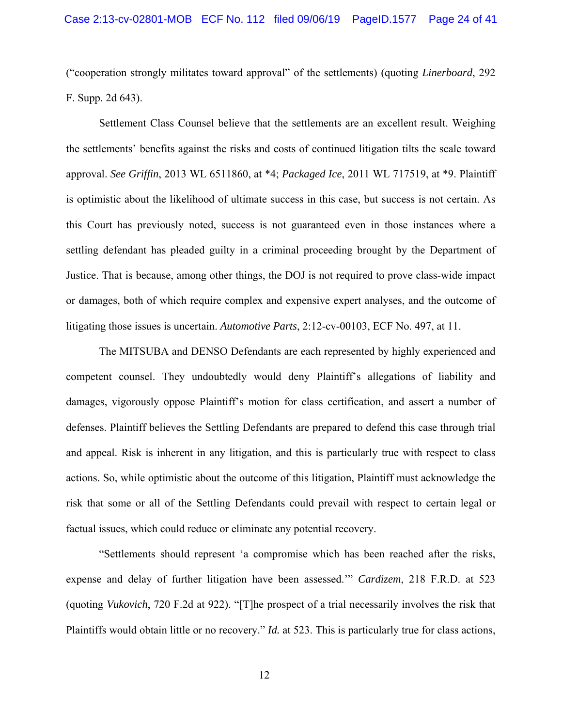("cooperation strongly militates toward approval" of the settlements) (quoting *Linerboard*, 292 F. Supp. 2d 643).

Settlement Class Counsel believe that the settlements are an excellent result. Weighing the settlements' benefits against the risks and costs of continued litigation tilts the scale toward approval. *See Griffin*, 2013 WL 6511860, at \*4; *Packaged Ice*, 2011 WL 717519, at \*9. Plaintiff is optimistic about the likelihood of ultimate success in this case, but success is not certain. As this Court has previously noted, success is not guaranteed even in those instances where a settling defendant has pleaded guilty in a criminal proceeding brought by the Department of Justice. That is because, among other things, the DOJ is not required to prove class-wide impact or damages, both of which require complex and expensive expert analyses, and the outcome of litigating those issues is uncertain. *Automotive Parts*, 2:12-cv-00103, ECF No. 497, at 11.

The MITSUBA and DENSO Defendants are each represented by highly experienced and competent counsel. They undoubtedly would deny Plaintiff's allegations of liability and damages, vigorously oppose Plaintiff's motion for class certification, and assert a number of defenses. Plaintiff believes the Settling Defendants are prepared to defend this case through trial and appeal. Risk is inherent in any litigation, and this is particularly true with respect to class actions. So, while optimistic about the outcome of this litigation, Plaintiff must acknowledge the risk that some or all of the Settling Defendants could prevail with respect to certain legal or factual issues, which could reduce or eliminate any potential recovery.

"Settlements should represent 'a compromise which has been reached after the risks, expense and delay of further litigation have been assessed.'" *Cardizem*, 218 F.R.D. at 523 (quoting *Vukovich*, 720 F.2d at 922). "[T]he prospect of a trial necessarily involves the risk that Plaintiffs would obtain little or no recovery." *Id.* at 523. This is particularly true for class actions,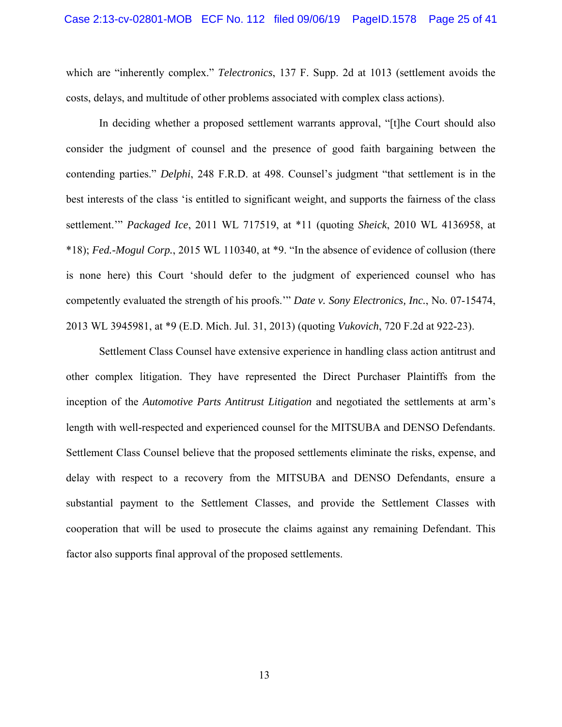which are "inherently complex." *Telectronics*, 137 F. Supp. 2d at 1013 (settlement avoids the costs, delays, and multitude of other problems associated with complex class actions).

In deciding whether a proposed settlement warrants approval, "[t]he Court should also consider the judgment of counsel and the presence of good faith bargaining between the contending parties." *Delphi*, 248 F.R.D. at 498. Counsel's judgment "that settlement is in the best interests of the class 'is entitled to significant weight, and supports the fairness of the class settlement.'" *Packaged Ice*, 2011 WL 717519, at \*11 (quoting *Sheick*, 2010 WL 4136958, at \*18); *Fed.-Mogul Corp.*, 2015 WL 110340, at \*9. "In the absence of evidence of collusion (there is none here) this Court 'should defer to the judgment of experienced counsel who has competently evaluated the strength of his proofs.'" *Date v. Sony Electronics, Inc.*, No. 07-15474, 2013 WL 3945981, at \*9 (E.D. Mich. Jul. 31, 2013) (quoting *Vukovich*, 720 F.2d at 922-23).

Settlement Class Counsel have extensive experience in handling class action antitrust and other complex litigation. They have represented the Direct Purchaser Plaintiffs from the inception of the *Automotive Parts Antitrust Litigation* and negotiated the settlements at arm's length with well-respected and experienced counsel for the MITSUBA and DENSO Defendants. Settlement Class Counsel believe that the proposed settlements eliminate the risks, expense, and delay with respect to a recovery from the MITSUBA and DENSO Defendants, ensure a substantial payment to the Settlement Classes, and provide the Settlement Classes with cooperation that will be used to prosecute the claims against any remaining Defendant. This factor also supports final approval of the proposed settlements.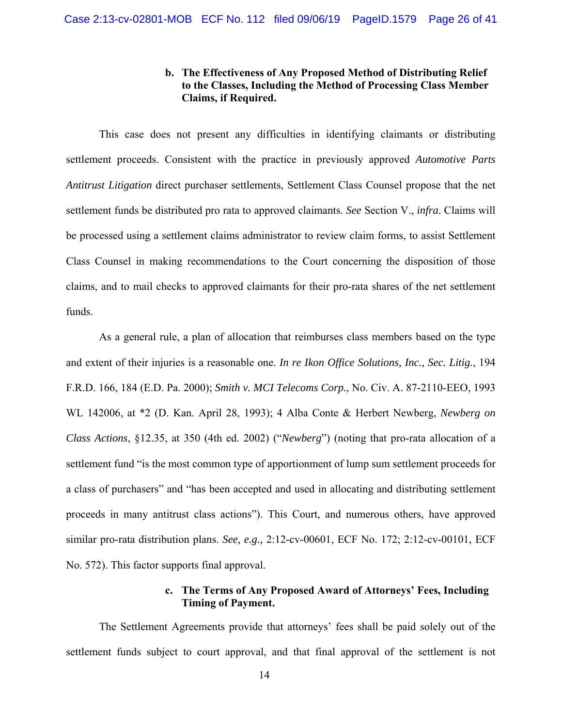## **b. The Effectiveness of Any Proposed Method of Distributing Relief to the Classes, Including the Method of Processing Class Member Claims, if Required.**

This case does not present any difficulties in identifying claimants or distributing settlement proceeds. Consistent with the practice in previously approved *Automotive Parts Antitrust Litigation* direct purchaser settlements, Settlement Class Counsel propose that the net settlement funds be distributed pro rata to approved claimants. *See* Section V., *infra*. Claims will be processed using a settlement claims administrator to review claim forms, to assist Settlement Class Counsel in making recommendations to the Court concerning the disposition of those claims, and to mail checks to approved claimants for their pro-rata shares of the net settlement funds.

As a general rule, a plan of allocation that reimburses class members based on the type and extent of their injuries is a reasonable one. *In re Ikon Office Solutions, Inc., Sec. Litig.*, 194 F.R.D. 166, 184 (E.D. Pa. 2000); *Smith v. MCI Telecoms Corp.*, No. Civ. A. 87-2110-EEO, 1993 WL 142006, at \*2 (D. Kan. April 28, 1993); 4 Alba Conte & Herbert Newberg, *Newberg on Class Actions*, §12.35, at 350 (4th ed. 2002) ("*Newberg*") (noting that pro-rata allocation of a settlement fund "is the most common type of apportionment of lump sum settlement proceeds for a class of purchasers" and "has been accepted and used in allocating and distributing settlement proceeds in many antitrust class actions"). This Court, and numerous others, have approved similar pro-rata distribution plans. *See, e.g.,* 2:12-cv-00601, ECF No. 172; 2:12-cv-00101, ECF No. 572). This factor supports final approval.

## **c. The Terms of Any Proposed Award of Attorneys' Fees, Including Timing of Payment.**

The Settlement Agreements provide that attorneys' fees shall be paid solely out of the settlement funds subject to court approval, and that final approval of the settlement is not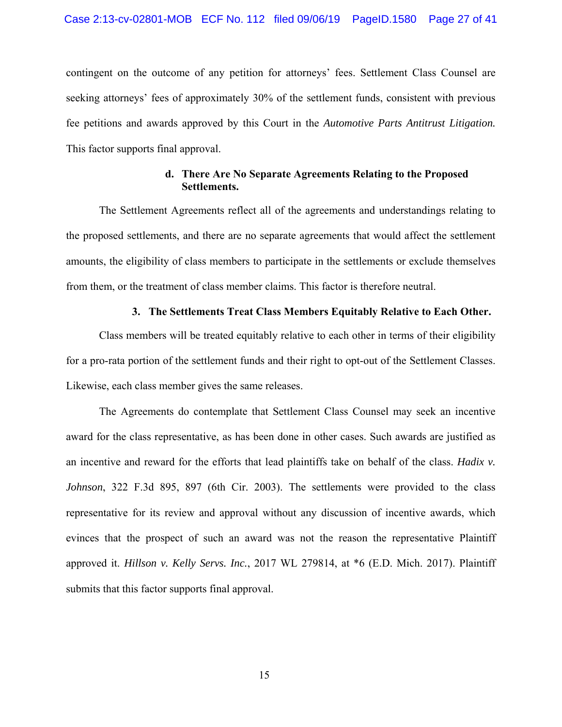contingent on the outcome of any petition for attorneys' fees. Settlement Class Counsel are seeking attorneys' fees of approximately 30% of the settlement funds, consistent with previous fee petitions and awards approved by this Court in the *Automotive Parts Antitrust Litigation.*  This factor supports final approval.

## **d. There Are No Separate Agreements Relating to the Proposed Settlements.**

The Settlement Agreements reflect all of the agreements and understandings relating to the proposed settlements, and there are no separate agreements that would affect the settlement amounts, the eligibility of class members to participate in the settlements or exclude themselves from them, or the treatment of class member claims. This factor is therefore neutral.

#### **3. The Settlements Treat Class Members Equitably Relative to Each Other.**

Class members will be treated equitably relative to each other in terms of their eligibility for a pro-rata portion of the settlement funds and their right to opt-out of the Settlement Classes. Likewise, each class member gives the same releases.

The Agreements do contemplate that Settlement Class Counsel may seek an incentive award for the class representative, as has been done in other cases. Such awards are justified as an incentive and reward for the efforts that lead plaintiffs take on behalf of the class. *Hadix v. Johnson*, 322 F.3d 895, 897 (6th Cir. 2003). The settlements were provided to the class representative for its review and approval without any discussion of incentive awards, which evinces that the prospect of such an award was not the reason the representative Plaintiff approved it. *Hillson v. Kelly Servs. Inc.*, 2017 WL 279814, at \*6 (E.D. Mich. 2017). Plaintiff submits that this factor supports final approval.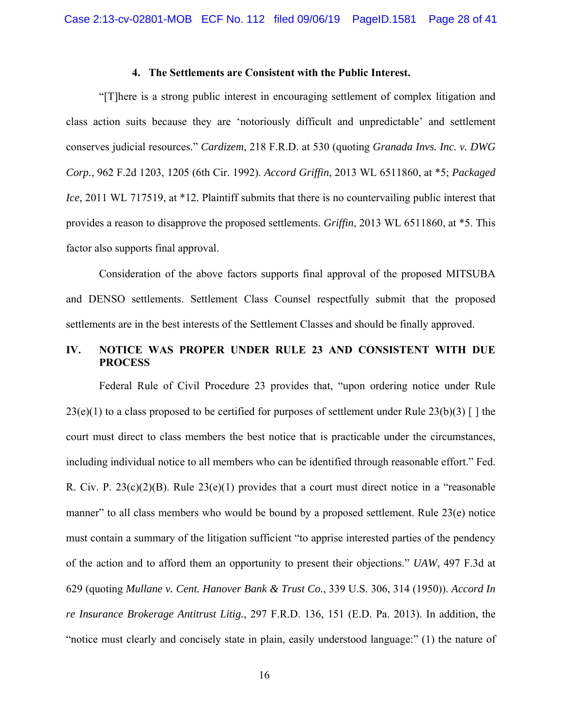#### **4. The Settlements are Consistent with the Public Interest.**

"[T]here is a strong public interest in encouraging settlement of complex litigation and class action suits because they are 'notoriously difficult and unpredictable' and settlement conserves judicial resources." *Cardizem*, 218 F.R.D. at 530 (quoting *Granada Invs. Inc. v. DWG Corp.*, 962 F.2d 1203, 1205 (6th Cir. 1992). *Accord Griffin*, 2013 WL 6511860, at \*5; *Packaged Ice*, 2011 WL 717519, at \*12. Plaintiff submits that there is no countervailing public interest that provides a reason to disapprove the proposed settlements. *Griffin*, 2013 WL 6511860, at \*5. This factor also supports final approval.

Consideration of the above factors supports final approval of the proposed MITSUBA and DENSO settlements. Settlement Class Counsel respectfully submit that the proposed settlements are in the best interests of the Settlement Classes and should be finally approved.

## **IV. NOTICE WAS PROPER UNDER RULE 23 AND CONSISTENT WITH DUE PROCESS**

Federal Rule of Civil Procedure 23 provides that, "upon ordering notice under Rule  $23(e)(1)$  to a class proposed to be certified for purposes of settlement under Rule  $23(b)(3)$  [ ] the court must direct to class members the best notice that is practicable under the circumstances, including individual notice to all members who can be identified through reasonable effort." Fed. R. Civ. P. 23(c)(2)(B). Rule 23(e)(1) provides that a court must direct notice in a "reasonable manner" to all class members who would be bound by a proposed settlement. Rule 23(e) notice must contain a summary of the litigation sufficient "to apprise interested parties of the pendency of the action and to afford them an opportunity to present their objections." *UAW*, 497 F.3d at 629 (quoting *Mullane v. Cent. Hanover Bank & Trust Co.*, 339 U.S. 306, 314 (1950)). *Accord In re Insurance Brokerage Antitrust Litig.*, 297 F.R.D. 136, 151 (E.D. Pa. 2013). In addition, the "notice must clearly and concisely state in plain, easily understood language:" (1) the nature of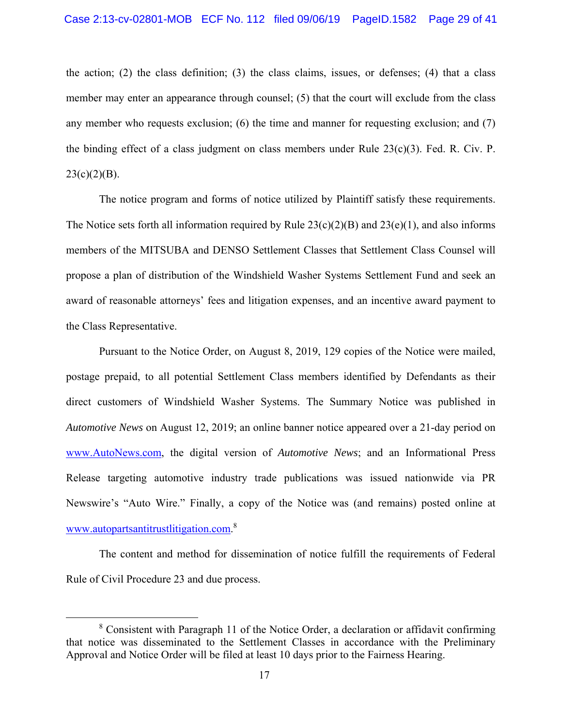the action; (2) the class definition; (3) the class claims, issues, or defenses; (4) that a class member may enter an appearance through counsel; (5) that the court will exclude from the class any member who requests exclusion; (6) the time and manner for requesting exclusion; and  $(7)$ the binding effect of a class judgment on class members under Rule  $23(c)(3)$ . Fed. R. Civ. P.  $23(c)(2)(B)$ .

The notice program and forms of notice utilized by Plaintiff satisfy these requirements. The Notice sets forth all information required by Rule  $23(c)(2)(B)$  and  $23(e)(1)$ , and also informs members of the MITSUBA and DENSO Settlement Classes that Settlement Class Counsel will propose a plan of distribution of the Windshield Washer Systems Settlement Fund and seek an award of reasonable attorneys' fees and litigation expenses, and an incentive award payment to the Class Representative.

Pursuant to the Notice Order, on August 8, 2019, 129 copies of the Notice were mailed, postage prepaid, to all potential Settlement Class members identified by Defendants as their direct customers of Windshield Washer Systems. The Summary Notice was published in *Automotive News* on August 12, 2019; an online banner notice appeared over a 21-day period on www.AutoNews.com, the digital version of *Automotive News*; and an Informational Press Release targeting automotive industry trade publications was issued nationwide via PR Newswire's "Auto Wire." Finally, a copy of the Notice was (and remains) posted online at www.autopartsantitrustlitigation.com.<sup>8</sup>

The content and method for dissemination of notice fulfill the requirements of Federal Rule of Civil Procedure 23 and due process.

 <sup>8</sup> <sup>8</sup> Consistent with Paragraph 11 of the Notice Order, a declaration or affidavit confirming that notice was disseminated to the Settlement Classes in accordance with the Preliminary Approval and Notice Order will be filed at least 10 days prior to the Fairness Hearing.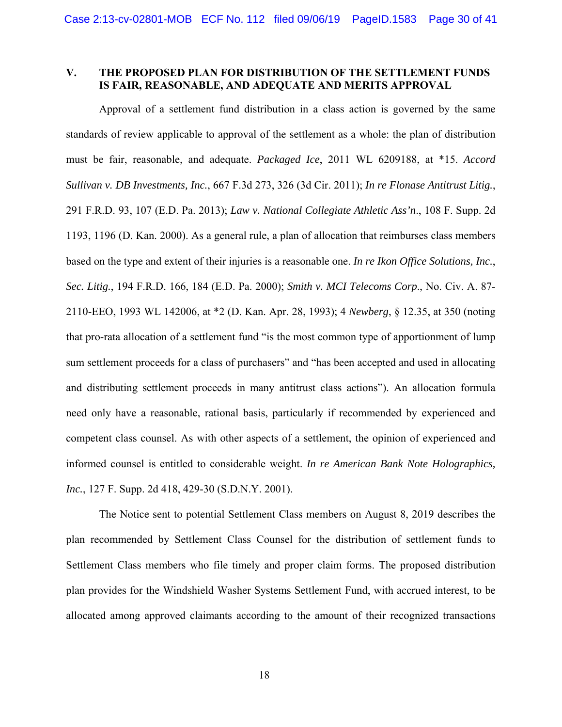### **V. THE PROPOSED PLAN FOR DISTRIBUTION OF THE SETTLEMENT FUNDS IS FAIR, REASONABLE, AND ADEQUATE AND MERITS APPROVAL**

Approval of a settlement fund distribution in a class action is governed by the same standards of review applicable to approval of the settlement as a whole: the plan of distribution must be fair, reasonable, and adequate. *Packaged Ice*, 2011 WL 6209188, at \*15. *Accord Sullivan v. DB Investments, Inc.*, 667 F.3d 273, 326 (3d Cir. 2011); *In re Flonase Antitrust Litig.*, 291 F.R.D. 93, 107 (E.D. Pa. 2013); *Law v. National Collegiate Athletic Ass'n*., 108 F. Supp. 2d 1193, 1196 (D. Kan. 2000). As a general rule, a plan of allocation that reimburses class members based on the type and extent of their injuries is a reasonable one. *In re Ikon Office Solutions, Inc.*, *Sec. Litig.*, 194 F.R.D. 166, 184 (E.D. Pa. 2000); *Smith v. MCI Telecoms Corp*., No. Civ. A. 87- 2110-EEO, 1993 WL 142006, at \*2 (D. Kan. Apr. 28, 1993); 4 *Newberg*, § 12.35, at 350 (noting that pro-rata allocation of a settlement fund "is the most common type of apportionment of lump sum settlement proceeds for a class of purchasers" and "has been accepted and used in allocating and distributing settlement proceeds in many antitrust class actions"). An allocation formula need only have a reasonable, rational basis, particularly if recommended by experienced and competent class counsel. As with other aspects of a settlement, the opinion of experienced and informed counsel is entitled to considerable weight. *In re American Bank Note Holographics, Inc.*, 127 F. Supp. 2d 418, 429-30 (S.D.N.Y. 2001).

The Notice sent to potential Settlement Class members on August 8, 2019 describes the plan recommended by Settlement Class Counsel for the distribution of settlement funds to Settlement Class members who file timely and proper claim forms. The proposed distribution plan provides for the Windshield Washer Systems Settlement Fund, with accrued interest, to be allocated among approved claimants according to the amount of their recognized transactions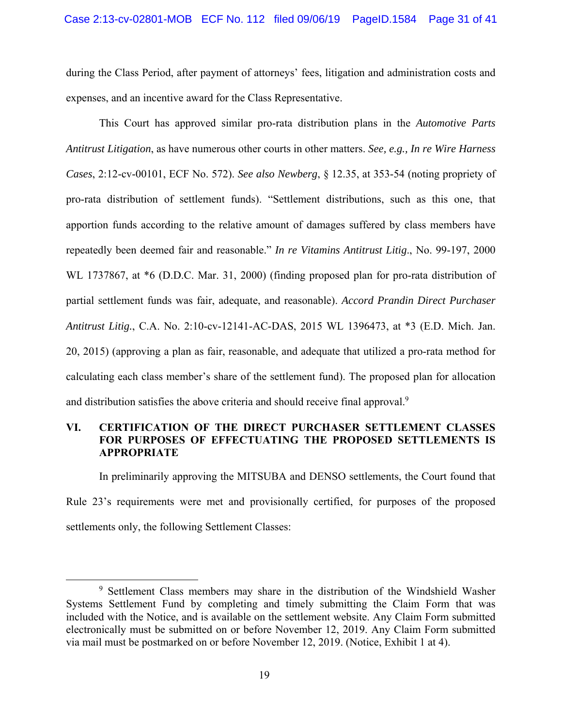during the Class Period, after payment of attorneys' fees, litigation and administration costs and expenses, and an incentive award for the Class Representative.

This Court has approved similar pro-rata distribution plans in the *Automotive Parts Antitrust Litigation*, as have numerous other courts in other matters. *See, e.g., In re Wire Harness Cases*, 2:12-cv-00101, ECF No. 572). *See also Newberg*, § 12.35, at 353-54 (noting propriety of pro-rata distribution of settlement funds). "Settlement distributions, such as this one, that apportion funds according to the relative amount of damages suffered by class members have repeatedly been deemed fair and reasonable." *In re Vitamins Antitrust Litig*., No. 99-197, 2000 WL 1737867, at  $*6$  (D.D.C. Mar. 31, 2000) (finding proposed plan for pro-rata distribution of partial settlement funds was fair, adequate, and reasonable). *Accord Prandin Direct Purchaser Antitrust Litig.*, C.A. No. 2:10-cv-12141-AC-DAS, 2015 WL 1396473, at \*3 (E.D. Mich. Jan. 20, 2015) (approving a plan as fair, reasonable, and adequate that utilized a pro-rata method for calculating each class member's share of the settlement fund). The proposed plan for allocation and distribution satisfies the above criteria and should receive final approval.<sup>9</sup>

## **VI. CERTIFICATION OF THE DIRECT PURCHASER SETTLEMENT CLASSES FOR PURPOSES OF EFFECTUATING THE PROPOSED SETTLEMENTS IS APPROPRIATE**

In preliminarily approving the MITSUBA and DENSO settlements, the Court found that Rule 23's requirements were met and provisionally certified, for purposes of the proposed settlements only, the following Settlement Classes:

 <sup>9</sup> <sup>9</sup> Settlement Class members may share in the distribution of the Windshield Washer Systems Settlement Fund by completing and timely submitting the Claim Form that was included with the Notice, and is available on the settlement website. Any Claim Form submitted electronically must be submitted on or before November 12, 2019. Any Claim Form submitted via mail must be postmarked on or before November 12, 2019. (Notice, Exhibit 1 at 4).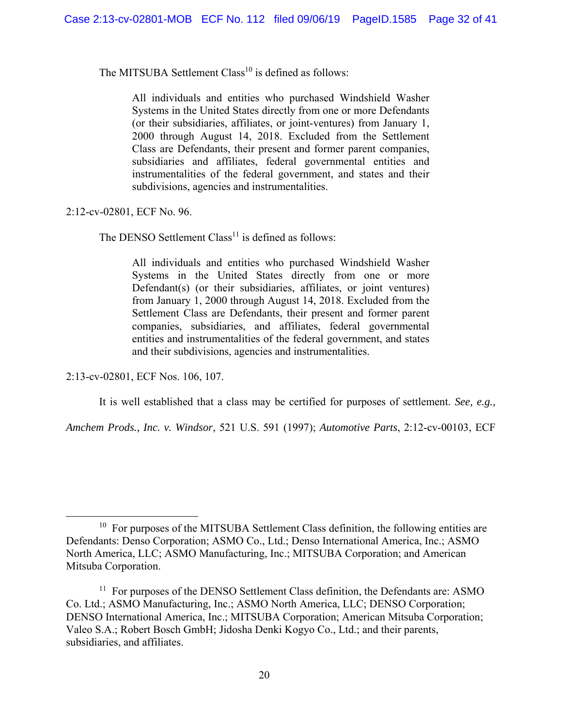The MITSUBA Settlement Class<sup>10</sup> is defined as follows:

All individuals and entities who purchased Windshield Washer Systems in the United States directly from one or more Defendants (or their subsidiaries, affiliates, or joint-ventures) from January 1, 2000 through August 14, 2018. Excluded from the Settlement Class are Defendants, their present and former parent companies, subsidiaries and affiliates, federal governmental entities and instrumentalities of the federal government, and states and their subdivisions, agencies and instrumentalities.

2:12-cv-02801, ECF No. 96.

The DENSO Settlement  $Class<sup>11</sup>$  is defined as follows:

All individuals and entities who purchased Windshield Washer Systems in the United States directly from one or more Defendant(s) (or their subsidiaries, affiliates, or joint ventures) from January 1, 2000 through August 14, 2018. Excluded from the Settlement Class are Defendants, their present and former parent companies, subsidiaries, and affiliates, federal governmental entities and instrumentalities of the federal government, and states and their subdivisions, agencies and instrumentalities.

2:13-cv-02801, ECF Nos. 106, 107.

It is well established that a class may be certified for purposes of settlement. *See, e.g.,* 

*Amchem Prods., Inc. v. Windsor*, 521 U.S. 591 (1997); *Automotive Parts*, 2:12-cv-00103, ECF

 $10$  For purposes of the MITSUBA Settlement Class definition, the following entities are Defendants: Denso Corporation; ASMO Co., Ltd.; Denso International America, Inc.; ASMO North America, LLC; ASMO Manufacturing, Inc.; MITSUBA Corporation; and American Mitsuba Corporation.

 $11$  For purposes of the DENSO Settlement Class definition, the Defendants are: ASMO Co. Ltd.; ASMO Manufacturing, Inc.; ASMO North America, LLC; DENSO Corporation; DENSO International America, Inc.; MITSUBA Corporation; American Mitsuba Corporation; Valeo S.A.; Robert Bosch GmbH; Jidosha Denki Kogyo Co., Ltd.; and their parents, subsidiaries, and affiliates.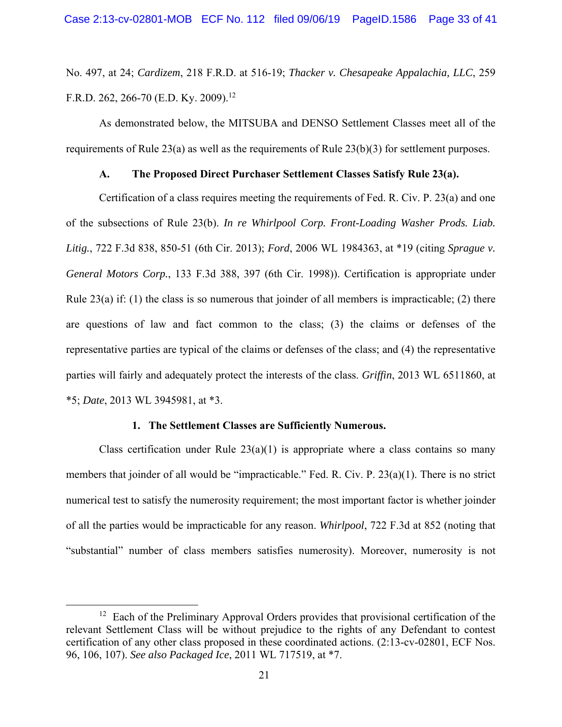No. 497, at 24; *Cardizem*, 218 F.R.D. at 516-19; *Thacker v. Chesapeake Appalachia, LLC*, 259 F.R.D. 262, 266-70 (E.D. Ky. 2009).<sup>12</sup>

As demonstrated below, the MITSUBA and DENSO Settlement Classes meet all of the requirements of Rule 23(a) as well as the requirements of Rule  $23(b)(3)$  for settlement purposes.

## **A. The Proposed Direct Purchaser Settlement Classes Satisfy Rule 23(a).**

Certification of a class requires meeting the requirements of Fed. R. Civ. P. 23(a) and one of the subsections of Rule 23(b). *In re Whirlpool Corp. Front-Loading Washer Prods. Liab. Litig.*, 722 F.3d 838, 850-51 (6th Cir. 2013); *Ford*, 2006 WL 1984363, at \*19 (citing *Sprague v. General Motors Corp.*, 133 F.3d 388, 397 (6th Cir. 1998)). Certification is appropriate under Rule 23(a) if: (1) the class is so numerous that joinder of all members is impracticable; (2) there are questions of law and fact common to the class; (3) the claims or defenses of the representative parties are typical of the claims or defenses of the class; and (4) the representative parties will fairly and adequately protect the interests of the class. *Griffin*, 2013 WL 6511860, at \*5; *Date*, 2013 WL 3945981, at \*3.

#### **1. The Settlement Classes are Sufficiently Numerous.**

Class certification under Rule  $23(a)(1)$  is appropriate where a class contains so many members that joinder of all would be "impracticable." Fed. R. Civ. P. 23(a)(1). There is no strict numerical test to satisfy the numerosity requirement; the most important factor is whether joinder of all the parties would be impracticable for any reason. *Whirlpool*, 722 F.3d at 852 (noting that "substantial" number of class members satisfies numerosity). Moreover, numerosity is not

<sup>&</sup>lt;sup>12</sup> Each of the Preliminary Approval Orders provides that provisional certification of the relevant Settlement Class will be without prejudice to the rights of any Defendant to contest certification of any other class proposed in these coordinated actions. (2:13-cv-02801, ECF Nos. 96, 106, 107). *See also Packaged Ice*, 2011 WL 717519, at \*7.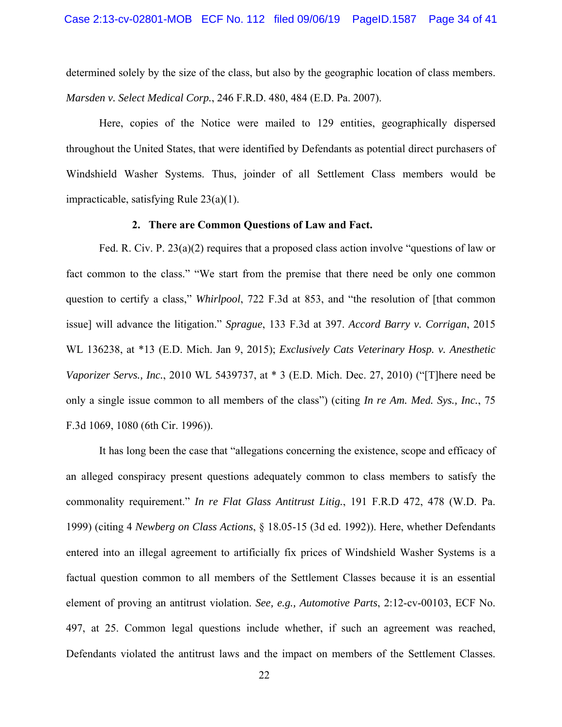determined solely by the size of the class, but also by the geographic location of class members. *Marsden v. Select Medical Corp.*, 246 F.R.D. 480, 484 (E.D. Pa. 2007).

Here, copies of the Notice were mailed to 129 entities, geographically dispersed throughout the United States, that were identified by Defendants as potential direct purchasers of Windshield Washer Systems. Thus, joinder of all Settlement Class members would be impracticable, satisfying Rule 23(a)(1).

#### **2. There are Common Questions of Law and Fact.**

Fed. R. Civ. P. 23(a)(2) requires that a proposed class action involve "questions of law or fact common to the class." "We start from the premise that there need be only one common question to certify a class," *Whirlpool*, 722 F.3d at 853, and "the resolution of [that common issue] will advance the litigation." *Sprague*, 133 F.3d at 397. *Accord Barry v. Corrigan*, 2015 WL 136238, at \*13 (E.D. Mich. Jan 9, 2015); *Exclusively Cats Veterinary Hosp. v. Anesthetic Vaporizer Servs., Inc.*, 2010 WL 5439737, at \* 3 (E.D. Mich. Dec. 27, 2010) ("[T]here need be only a single issue common to all members of the class") (citing *In re Am. Med. Sys., Inc.*, 75 F.3d 1069, 1080 (6th Cir. 1996)).

It has long been the case that "allegations concerning the existence, scope and efficacy of an alleged conspiracy present questions adequately common to class members to satisfy the commonality requirement." *In re Flat Glass Antitrust Litig.*, 191 F.R.D 472, 478 (W.D. Pa. 1999) (citing 4 *Newberg on Class Actions*, § 18.05-15 (3d ed. 1992)). Here, whether Defendants entered into an illegal agreement to artificially fix prices of Windshield Washer Systems is a factual question common to all members of the Settlement Classes because it is an essential element of proving an antitrust violation. *See, e.g., Automotive Parts*, 2:12-cv-00103, ECF No. 497, at 25. Common legal questions include whether, if such an agreement was reached, Defendants violated the antitrust laws and the impact on members of the Settlement Classes.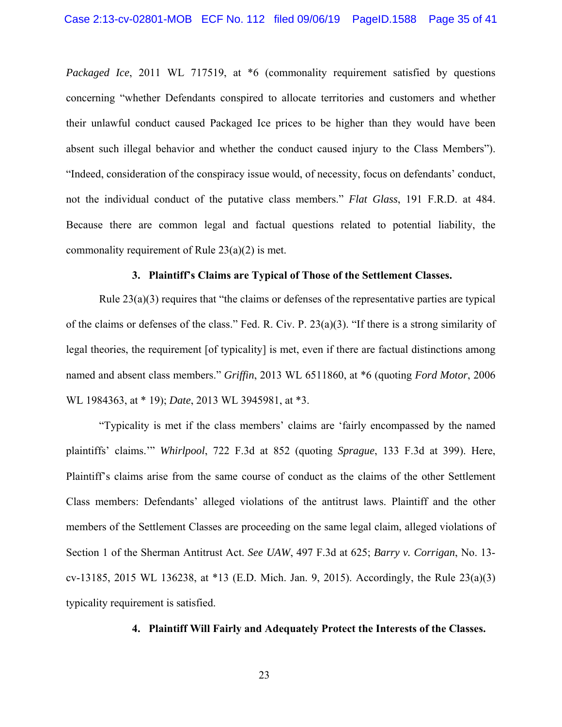*Packaged Ice*, 2011 WL 717519, at  $*6$  (commonality requirement satisfied by questions concerning "whether Defendants conspired to allocate territories and customers and whether their unlawful conduct caused Packaged Ice prices to be higher than they would have been absent such illegal behavior and whether the conduct caused injury to the Class Members"). "Indeed, consideration of the conspiracy issue would, of necessity, focus on defendants' conduct, not the individual conduct of the putative class members." *Flat Glass*, 191 F.R.D. at 484. Because there are common legal and factual questions related to potential liability, the commonality requirement of Rule 23(a)(2) is met.

#### **3. Plaintiff's Claims are Typical of Those of the Settlement Classes.**

Rule 23(a)(3) requires that "the claims or defenses of the representative parties are typical of the claims or defenses of the class." Fed. R. Civ. P. 23(a)(3). "If there is a strong similarity of legal theories, the requirement [of typicality] is met, even if there are factual distinctions among named and absent class members." *Griffin*, 2013 WL 6511860, at \*6 (quoting *Ford Motor*, 2006 WL 1984363, at \* 19); *Date*, 2013 WL 3945981, at \*3.

"Typicality is met if the class members' claims are 'fairly encompassed by the named plaintiffs' claims.'" *Whirlpool*, 722 F.3d at 852 (quoting *Sprague*, 133 F.3d at 399). Here, Plaintiff's claims arise from the same course of conduct as the claims of the other Settlement Class members: Defendants' alleged violations of the antitrust laws. Plaintiff and the other members of the Settlement Classes are proceeding on the same legal claim, alleged violations of Section 1 of the Sherman Antitrust Act. *See UAW*, 497 F.3d at 625; *Barry v. Corrigan*, No. 13 cv-13185, 2015 WL 136238, at \*13 (E.D. Mich. Jan. 9, 2015). Accordingly, the Rule 23(a)(3) typicality requirement is satisfied.

#### **4. Plaintiff Will Fairly and Adequately Protect the Interests of the Classes.**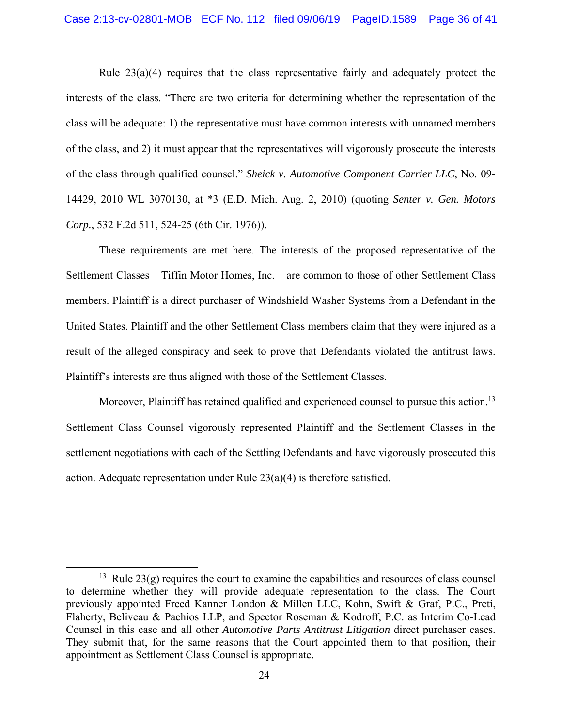Rule 23(a)(4) requires that the class representative fairly and adequately protect the interests of the class. "There are two criteria for determining whether the representation of the class will be adequate: 1) the representative must have common interests with unnamed members of the class, and 2) it must appear that the representatives will vigorously prosecute the interests of the class through qualified counsel." *Sheick v. Automotive Component Carrier LLC*, No. 09- 14429, 2010 WL 3070130, at \*3 (E.D. Mich. Aug. 2, 2010) (quoting *Senter v. Gen. Motors Corp.*, 532 F.2d 511, 524-25 (6th Cir. 1976)).

These requirements are met here. The interests of the proposed representative of the Settlement Classes – Tiffin Motor Homes, Inc. – are common to those of other Settlement Class members. Plaintiff is a direct purchaser of Windshield Washer Systems from a Defendant in the United States. Plaintiff and the other Settlement Class members claim that they were injured as a result of the alleged conspiracy and seek to prove that Defendants violated the antitrust laws. Plaintiff's interests are thus aligned with those of the Settlement Classes.

Moreover, Plaintiff has retained qualified and experienced counsel to pursue this action.<sup>13</sup> Settlement Class Counsel vigorously represented Plaintiff and the Settlement Classes in the settlement negotiations with each of the Settling Defendants and have vigorously prosecuted this action. Adequate representation under Rule  $23(a)(4)$  is therefore satisfied.

<sup>&</sup>lt;sup>13</sup> Rule  $23(g)$  requires the court to examine the capabilities and resources of class counsel to determine whether they will provide adequate representation to the class. The Court previously appointed Freed Kanner London & Millen LLC, Kohn, Swift & Graf, P.C., Preti, Flaherty, Beliveau & Pachios LLP, and Spector Roseman & Kodroff, P.C. as Interim Co-Lead Counsel in this case and all other *Automotive Parts Antitrust Litigation* direct purchaser cases. They submit that, for the same reasons that the Court appointed them to that position, their appointment as Settlement Class Counsel is appropriate.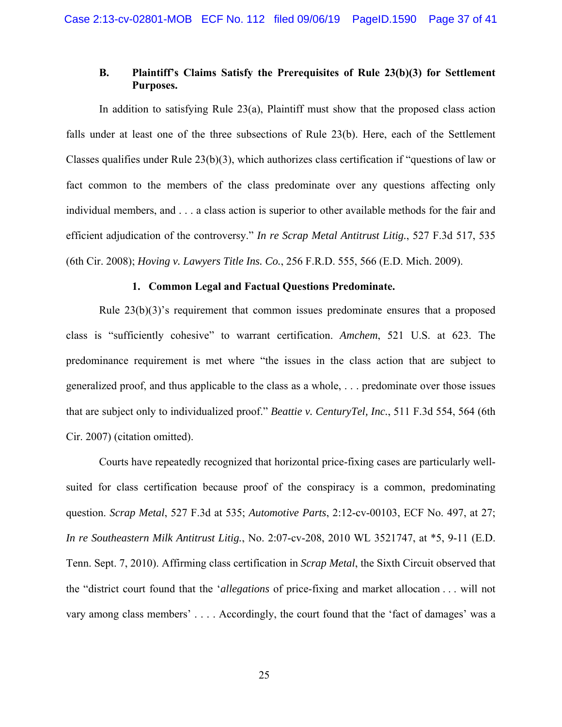## **B. Plaintiff's Claims Satisfy the Prerequisites of Rule 23(b)(3) for Settlement Purposes.**

In addition to satisfying Rule 23(a), Plaintiff must show that the proposed class action falls under at least one of the three subsections of Rule 23(b). Here, each of the Settlement Classes qualifies under Rule 23(b)(3), which authorizes class certification if "questions of law or fact common to the members of the class predominate over any questions affecting only individual members, and . . . a class action is superior to other available methods for the fair and efficient adjudication of the controversy." *In re Scrap Metal Antitrust Litig.*, 527 F.3d 517, 535 (6th Cir. 2008); *Hoving v. Lawyers Title Ins. Co.*, 256 F.R.D. 555, 566 (E.D. Mich. 2009).

#### **1. Common Legal and Factual Questions Predominate.**

Rule 23(b)(3)'s requirement that common issues predominate ensures that a proposed class is "sufficiently cohesive" to warrant certification. *Amchem*, 521 U.S. at 623. The predominance requirement is met where "the issues in the class action that are subject to generalized proof, and thus applicable to the class as a whole, . . . predominate over those issues that are subject only to individualized proof." *Beattie v. CenturyTel, Inc.*, 511 F.3d 554, 564 (6th Cir. 2007) (citation omitted).

Courts have repeatedly recognized that horizontal price-fixing cases are particularly wellsuited for class certification because proof of the conspiracy is a common, predominating question. *Scrap Metal*, 527 F.3d at 535; *Automotive Parts*, 2:12-cv-00103, ECF No. 497, at 27; *In re Southeastern Milk Antitrust Litig.*, No. 2:07-cv-208, 2010 WL 3521747, at \*5, 9-11 (E.D. Tenn. Sept. 7, 2010). Affirming class certification in *Scrap Metal*, the Sixth Circuit observed that the "district court found that the '*allegations* of price-fixing and market allocation . . . will not vary among class members' . . . . Accordingly, the court found that the 'fact of damages' was a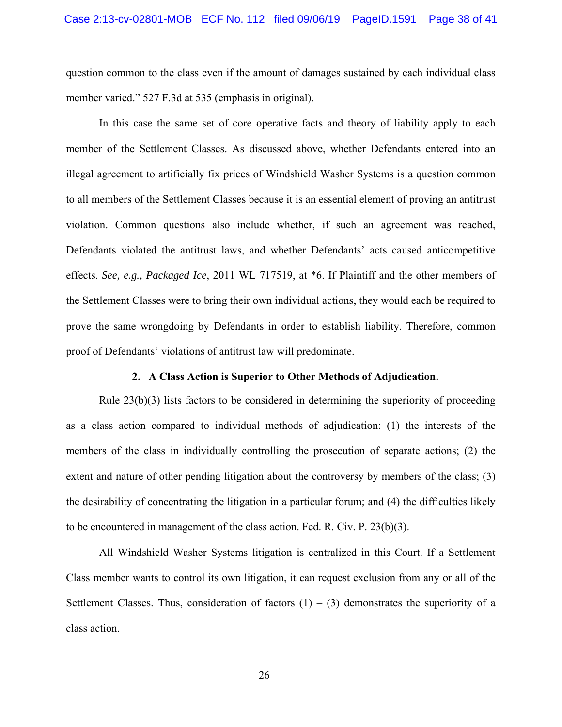question common to the class even if the amount of damages sustained by each individual class member varied." 527 F.3d at 535 (emphasis in original).

In this case the same set of core operative facts and theory of liability apply to each member of the Settlement Classes. As discussed above, whether Defendants entered into an illegal agreement to artificially fix prices of Windshield Washer Systems is a question common to all members of the Settlement Classes because it is an essential element of proving an antitrust violation. Common questions also include whether, if such an agreement was reached, Defendants violated the antitrust laws, and whether Defendants' acts caused anticompetitive effects. *See, e.g., Packaged Ice*, 2011 WL 717519, at \*6. If Plaintiff and the other members of the Settlement Classes were to bring their own individual actions, they would each be required to prove the same wrongdoing by Defendants in order to establish liability. Therefore, common proof of Defendants' violations of antitrust law will predominate.

#### **2. A Class Action is Superior to Other Methods of Adjudication.**

Rule 23(b)(3) lists factors to be considered in determining the superiority of proceeding as a class action compared to individual methods of adjudication: (1) the interests of the members of the class in individually controlling the prosecution of separate actions; (2) the extent and nature of other pending litigation about the controversy by members of the class; (3) the desirability of concentrating the litigation in a particular forum; and (4) the difficulties likely to be encountered in management of the class action. Fed. R. Civ. P. 23(b)(3).

All Windshield Washer Systems litigation is centralized in this Court. If a Settlement Class member wants to control its own litigation, it can request exclusion from any or all of the Settlement Classes. Thus, consideration of factors  $(1) - (3)$  demonstrates the superiority of a class action.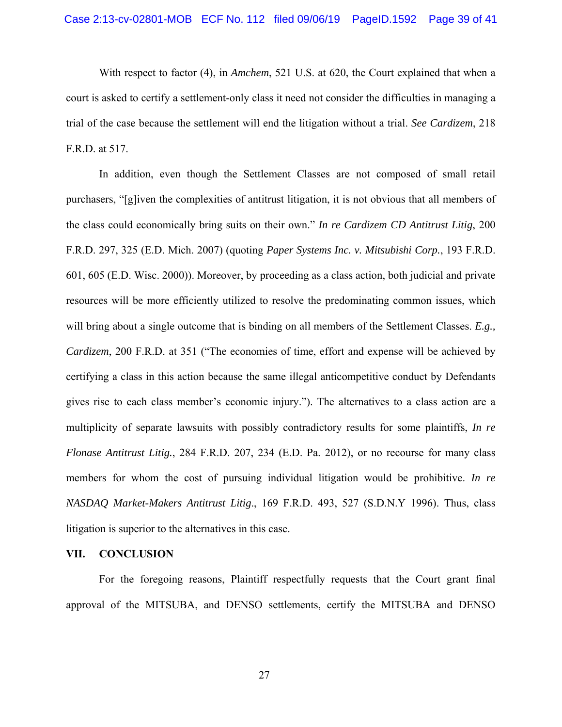With respect to factor (4), in *Amchem*, 521 U.S. at 620, the Court explained that when a court is asked to certify a settlement-only class it need not consider the difficulties in managing a trial of the case because the settlement will end the litigation without a trial. *See Cardizem*, 218 F.R.D. at 517.

In addition, even though the Settlement Classes are not composed of small retail purchasers, "[g]iven the complexities of antitrust litigation, it is not obvious that all members of the class could economically bring suits on their own." *In re Cardizem CD Antitrust Litig*, 200 F.R.D. 297, 325 (E.D. Mich. 2007) (quoting *Paper Systems Inc. v. Mitsubishi Corp.*, 193 F.R.D. 601, 605 (E.D. Wisc. 2000)). Moreover, by proceeding as a class action, both judicial and private resources will be more efficiently utilized to resolve the predominating common issues, which will bring about a single outcome that is binding on all members of the Settlement Classes. *E.g., Cardizem*, 200 F.R.D. at 351 ("The economies of time, effort and expense will be achieved by certifying a class in this action because the same illegal anticompetitive conduct by Defendants gives rise to each class member's economic injury."). The alternatives to a class action are a multiplicity of separate lawsuits with possibly contradictory results for some plaintiffs, *In re Flonase Antitrust Litig.*, 284 F.R.D. 207, 234 (E.D. Pa. 2012), or no recourse for many class members for whom the cost of pursuing individual litigation would be prohibitive. *In re NASDAQ Market-Makers Antitrust Litig*., 169 F.R.D. 493, 527 (S.D.N.Y 1996). Thus, class litigation is superior to the alternatives in this case.

#### **VII. CONCLUSION**

For the foregoing reasons, Plaintiff respectfully requests that the Court grant final approval of the MITSUBA, and DENSO settlements, certify the MITSUBA and DENSO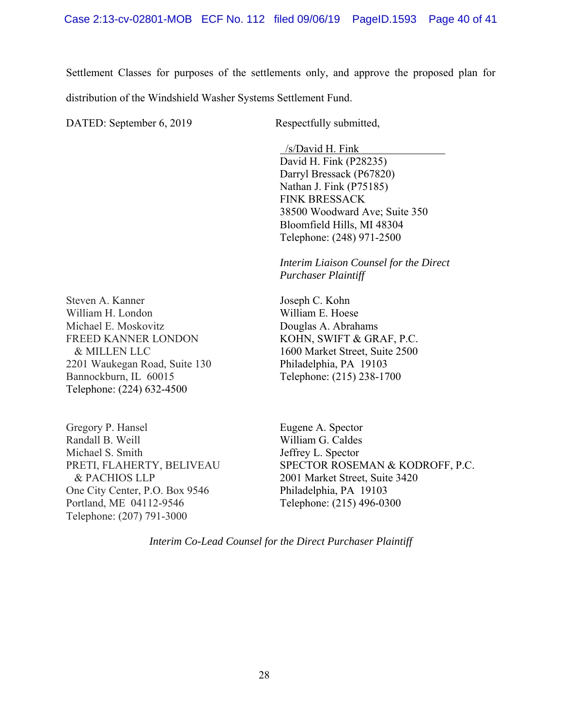Settlement Classes for purposes of the settlements only, and approve the proposed plan for distribution of the Windshield Washer Systems Settlement Fund.

DATED: September 6, 2019 Respectfully submitted,

 /s/David H. Fink David H. Fink (P28235) Darryl Bressack (P67820) Nathan J. Fink (P75185) FINK BRESSACK 38500 Woodward Ave; Suite 350 Bloomfield Hills, MI 48304 Telephone: (248) 971-2500

*Interim Liaison Counsel for the Direct Purchaser Plaintiff* 

Steven A. Kanner William H. London Michael E. Moskovitz FREED KANNER LONDON & MILLEN LLC 2201 Waukegan Road, Suite 130 Bannockburn, IL 60015 Telephone: (224) 632-4500

Gregory P. Hansel Randall B. Weill Michael S. Smith PRETI, FLAHERTY, BELIVEAU & PACHIOS LLP One City Center, P.O. Box 9546 Portland, ME 04112-9546 Telephone: (207) 791-3000

Joseph C. Kohn William E. Hoese Douglas A. Abrahams KOHN, SWIFT & GRAF, P.C. 1600 Market Street, Suite 2500 Philadelphia, PA 19103 Telephone: (215) 238-1700

Eugene A. Spector William G. Caldes Jeffrey L. Spector SPECTOR ROSEMAN & KODROFF, P.C. 2001 Market Street, Suite 3420 Philadelphia, PA 19103 Telephone: (215) 496-0300

*Interim Co-Lead Counsel for the Direct Purchaser Plaintiff*